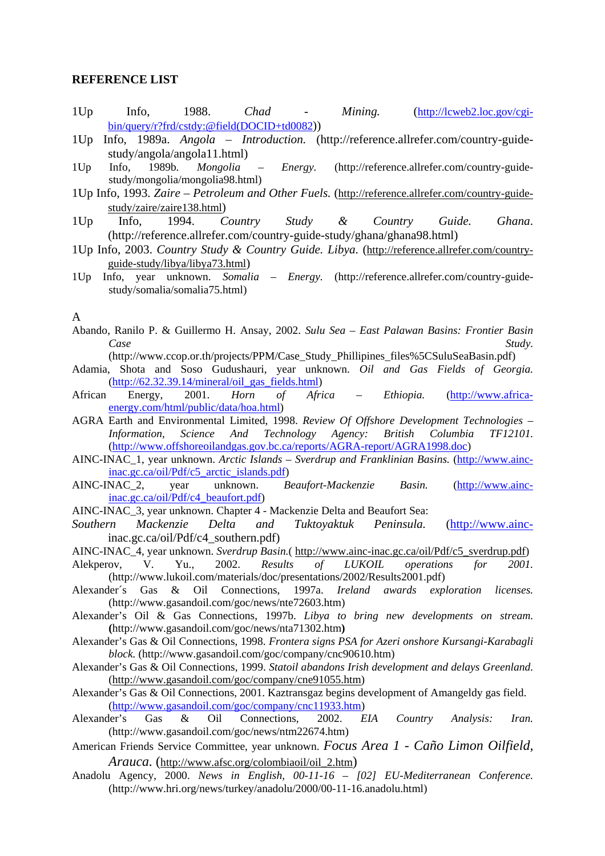## **REFERENCE LIST**

- 1Up Info, 1988. *Chad Mining.* (http://lcweb2.loc.gov/cgibin/query/r?frd/cstdy:@field(DOCID+td0082))
- 1Up Info, 1989a. *Angola Introduction.* (http://reference.allrefer.com/country-guidestudy/angola/angola11.html)
- 1Up Info, 1989b*. Mongolia Energy.* (http://reference.allrefer.com/country-guidestudy/mongolia/mongolia98.html)
- 1Up Info, 1993. *Zaire Petroleum and Other Fuels.* (http://reference.allrefer.com/country-guidestudy/zaire/zaire138.html)
- 1Up Info, 1994. *Country Study & Country Guide. Ghana*. (http://reference.allrefer.com/country-guide-study/ghana/ghana98.html)
- 1Up Info, 2003. *Country Study & Country Guide. Libya*. (http://reference.allrefer.com/countryguide-study/libya/libya73.html)
- 1Up Info, year unknown. *Somalia Energy.* (http://reference.allrefer.com/country-guidestudy/somalia/somalia75.html)

# A

- Abando, Ranilo P. & Guillermo H. Ansay, 2002. *Sulu Sea East Palawan Basins: Frontier Basin Case* Study.
- (http://www.ccop.or.th/projects/PPM/Case\_Study\_Phillipines\_files%5CSuluSeaBasin.pdf)
- Adamia, Shota and Soso Gudushauri, year unknown. *Oil and Gas Fields of Georgia.*   $(http://62.32.39.14/mineral/oil gas fields.html)$
- African Energy, 2001. *Horn of Africa Ethiopia.* (http://www.africaenergy.com/html/public/data/hoa.html)
- AGRA Earth and Environmental Limited, 1998. *Review Of Offshore Development Technologies Information, Science And Technology Agency: British Columbia TF12101.* (http://www.offshoreoilandgas.gov.bc.ca/reports/AGRA-report/AGRA1998.doc)
- AINC-INAC\_1, year unknown. *Arctic Islands Sverdrup and Franklinian Basins.* (http://www.aincinac.gc.ca/oil/Pdf/c5\_arctic\_islands.pdf)
- AINC-INAC\_2, year unknown. *Beaufort-Mackenzie Basin.* (http://www.aincinac.gc.ca/oil/Pdf/c4\_beaufort.pdf)
- AINC-INAC\_3, year unknown. Chapter 4 Mackenzie Delta and Beaufort Sea:
- *Southern Mackenzie Delta and Tuktoyaktuk Peninsula.* (http://www.aincinac.gc.ca/oil/Pdf/c4\_southern.pdf)
- AINC-INAC\_4, year unknown. *Sverdrup Basin.*( http://www.ainc-inac.gc.ca/oil/Pdf/c5\_sverdrup.pdf)
- Alekperov, V. Yu., 2002. *Results of LUKOIL operations for 2001.* (http://www.lukoil.com/materials/doc/presentations/2002/Results2001.pdf)
- Alexander´s Gas & Oil Connections, 1997a. *Ireland awards exploration licenses.* (http://www.gasandoil.com/goc/news/nte72603.htm)
- Alexander's Oil & Gas Connections, 1997b. *Libya to bring new developments on stream.*  **(**http://www.gasandoil.com/goc/news/nta71302.htm**)**
- Alexander's Gas & Oil Connections, 1998. *Frontera signs PSA for Azeri onshore Kursangi-Karabagli block.* (http://www.gasandoil.com/goc/company/cnc90610.htm)
- Alexander's Gas & Oil Connections, 1999. *Statoil abandons Irish development and delays Greenland.* (http://www.gasandoil.com/goc/company/cne91055.htm)
- Alexander's Gas & Oil Connections, 2001. Kaztransgaz begins development of Amangeldy gas field.  $(\frac{http://www.gasandoil.com/goc/company/cnc11933.htm)}{_\text{der's}}$ <br>der's Gas & Oil Connections. 2002. E
- Alexander's Gas & Oil Connections, 2002. *EIA Country Analysis: Iran.*  (http://www.gasandoil.com/goc/news/ntm22674.htm)
- American Friends Service Committee, year unknown. *Focus Area 1 Caño Limon Oilfield, Arauca.* (http://www.afsc.org/colombiaoil/oil\_2.htm)
- Anadolu Agency, 2000. *News in English, 00-11-16 [02] EU-Mediterranean Conference.* (http://www.hri.org/news/turkey/anadolu/2000/00-11-16.anadolu.html)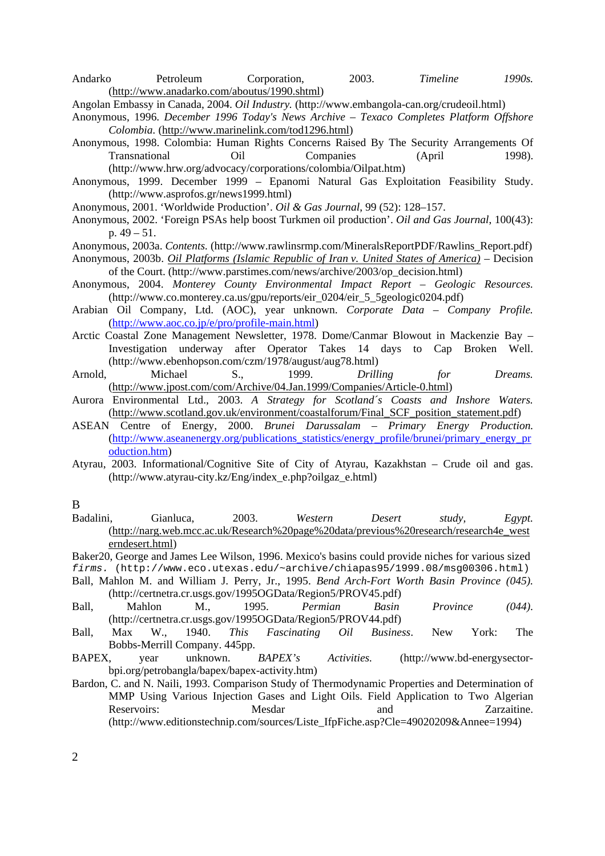Andarko Petroleum Corporation, 2003. *Timeline 1990s.*  (http://www.anadarko.com/aboutus/1990.shtml)

Angolan Embassy in Canada, 2004. *Oil Industry.* (http://www.embangola-can.org/crudeoil.html)

- Anonymous, 1996. *December 1996 Today's News Archive Texaco Completes Platform Offshore Colombia.* (http://www.marinelink.com/tod1296.html)
- Anonymous, 1998. Colombia: Human Rights Concerns Raised By The Security Arrangements Of Transnational Oil Companies (April 1998). (http://www.hrw.org/advocacy/corporations/colombia/Oilpat.htm)
- Anonymous, 1999. December 1999 Epanomi Natural Gas Exploitation Feasibility Study. (http://www.asprofos.gr/news1999.html)
- Anonymous, 2001. 'Worldwide Production'. *Oil & Gas Journal*, 99 (52): 128–157.
- Anonymous, 2002. 'Foreign PSAs help boost Turkmen oil production'. *Oil and Gas Journal*, 100(43): p. 49 – 51.
- Anonymous, 2003a. *Contents.* (http://www.rawlinsrmp.com/MineralsReportPDF/Rawlins\_Report.pdf)
- Anonymous, 2003b. *Oil Platforms (Islamic Republic of Iran v. United States of America)* Decision of the Court. (http://www.parstimes.com/news/archive/2003/op\_decision.html)
- Anonymous, 2004. *Monterey County Environmental Impact Report Geologic Resources.*  (http://www.co.monterey.ca.us/gpu/reports/eir\_0204/eir\_5\_5geologic0204.pdf)
- Arabian Oil Company, Ltd. (AOC), year unknown. *Corporate Data Company Profile.* (http://www.aoc.co.jp/e/pro/profile-main.html)
- Arctic Coastal Zone Management Newsletter, 1978. Dome/Canmar Blowout in Mackenzie Bay Investigation underway after Operator Takes 14 days to Cap Broken Well. (http://www.ebenhopson.com/czm/1978/august/aug78.html)
- Arnold, Michael S., 1999. *Drilling for Dreams.*  (http://www.jpost.com/com/Archive/04.Jan.1999/Companies/Article-0.html)
- Aurora Environmental Ltd., 2003. *A Strategy for Scotland´s Coasts and Inshore Waters.* (http://www.scotland.gov.uk/environment/coastalforum/Final\_SCF\_position\_statement.pdf)
- ASEAN Centre of Energy, 2000. *Brunei Darussalam Primary Energy Production.*  (http://www.aseanenergy.org/publications\_statistics/energy\_profile/brunei/primary\_energy\_pr oduction.htm)
- Atyrau, 2003. Informational/Cognitive Site of City of Atyrau, Kazakhstan Crude oil and gas. (http://www.atyrau-city.kz/Eng/index\_e.php?oilgaz\_e.html)

### B

- Badalini, Gianluca, 2003. *Western Desert study, Egypt.* (http://narg.web.mcc.ac.uk/Research%20page%20data/previous%20research/research4e\_west erndesert.html)
- Baker20, George and James Lee Wilson, 1996. Mexico's basins could provide niches for various sized
- *firms.* (http://www.eco.utexas.edu/~archive/chiapas95/1999.08/msg00306.html) Ball, Mahlon M. and William J. Perry, Jr., 1995. *Bend Arch-Fort Worth Basin Province (045).*
- (http://certnetra.cr.usgs.gov/1995OGData/Region5/PROV45.pdf)
- Ball, Mahlon M., 1995. *Permian Basin Province (044).*  (http://certnetra.cr.usgs.gov/1995OGData/Region5/PROV44.pdf)
- Ball, Max W., 1940. *This Fascinating Oil Business*. New York: The Bobbs-Merrill Company. 445pp.
- BAPEX, year unknown. *BAPEX's Activities.* (http://www.bd-energysectorbpi.org/petrobangla/bapex/bapex-activity.htm)
- Bardon, C. and N. Naili, 1993. Comparison Study of Thermodynamic Properties and Determination of MMP Using Various Injection Gases and Light Oils. Field Application to Two Algerian Reservoirs: Mesdar and Zarzaitine. (http://www.editionstechnip.com/sources/Liste\_IfpFiche.asp?Cle=49020209&Annee=1994)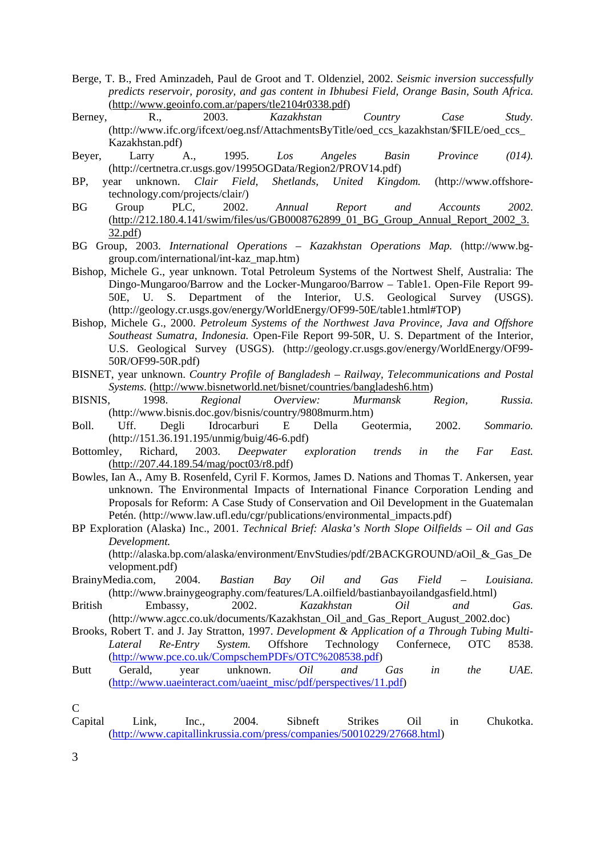- Berge, T. B., Fred Aminzadeh, Paul de Groot and T. Oldenziel, 2002. *Seismic inversion successfully predicts reservoir, porosity, and gas content in Ibhubesi Field, Orange Basin, South Africa.*  (http://www.geoinfo.com.ar/papers/tle2104r0338.pdf)
- Berney, R., 2003. *Kazakhstan Country Case Study.* (http://www.ifc.org/ifcext/oeg.nsf/AttachmentsByTitle/oed\_ccs\_kazakhstan/\$FILE/oed\_ccs\_ Kazakhstan.pdf)
- Beyer, Larry A., 1995. *Los Angeles Basin Province (014).*  (http://certnetra.cr.usgs.gov/1995OGData/Region2/PROV14.pdf)
- BP, year unknown. *Clair Field, Shetlands, United Kingdom.* (http://www.offshoretechnology.com/projects/clair/)
- BG Group PLC, 2002. *Annual Report and Accounts 2002.*  (http://212.180.4.141/swim/files/us/GB0008762899\_01\_BG\_Group\_Annual\_Report\_2002\_3. 32.pdf)
- BG Group, 2003. *International Operations Kazakhstan Operations Map.* (http://www.bggroup.com/international/int-kaz\_map.htm)
- Bishop, Michele G., year unknown. Total Petroleum Systems of the Nortwest Shelf, Australia: The Dingo-Mungaroo/Barrow and the Locker-Mungaroo/Barrow – Table1. Open-File Report 99- 50E, U. S. Department of the Interior, U.S. Geological Survey (USGS). (http://geology.cr.usgs.gov/energy/WorldEnergy/OF99-50E/table1.html#TOP)
- Bishop, Michele G., 2000. *Petroleum Systems of the Northwest Java Province, Java and Offshore Southeast Sumatra, Indonesia.* Open-File Report 99-50R, U. S. Department of the Interior, U.S. Geological Survey (USGS). (http://geology.cr.usgs.gov/energy/WorldEnergy/OF99- 50R/OF99-50R.pdf)
- BISNET, year unknown. *Country Profile of Bangladesh Railway, Telecommunications and Postal Systems.* (http://www.bisnetworld.net/bisnet/countries/bangladesh6.htm)
- BISNIS, 1998. *Regional Overview: Murmansk Region, Russia.* (http://www.bisnis.doc.gov/bisnis/country/9808murm.htm)
- Boll. Uff. Degli Idrocarburi E Della Geotermia, 2002. *Sommario.* (http://151.36.191.195/unmig/buig/46-6.pdf)
- Bottomley, Richard, 2003. *Deepwater exploration trends in the Far East.*  (http://207.44.189.54/mag/poct03/r8.pdf)
- Bowles, Ian A., Amy B. Rosenfeld, Cyril F. Kormos, James D. Nations and Thomas T. Ankersen, year unknown. The Environmental Impacts of International Finance Corporation Lending and Proposals for Reform: A Case Study of Conservation and Oil Development in the Guatemalan Petén. (http://www.law.ufl.edu/cgr/publications/environmental\_impacts.pdf)
- BP Exploration (Alaska) Inc., 2001. *Technical Brief: Alaska's North Slope Oilfields Oil and Gas Development.*

(http://alaska.bp.com/alaska/environment/EnvStudies/pdf/2BACKGROUND/aOil\_&\_Gas\_De velopment.pdf)

- BrainyMedia.com, 2004. *Bastian Bay Oil and Gas Field Louisiana.*  (http://www.brainygeography.com/features/LA.oilfield/bastianbayoilandgasfield.html)
- British Embassy, 2002. *Kazakhstan Oil and Gas.* (http://www.agcc.co.uk/documents/Kazakhstan\_Oil\_and\_Gas\_Report\_August\_2002.doc)
- Brooks, Robert T. and J. Jay Stratton, 1997. *Development & Application of a Through Tubing Multi-Lateral Re-Entry System.* Offshore Technology Confernece, OTC 8538. (http://www.pce.co.uk/CompschemPDFs/OTC%208538.pdf)
- Butt Gerald, year unknown. *Oil and Gas in the UAE.*  (http://www.uaeinteract.com/uaeint\_misc/pdf/perspectives/11.pdf)

Capital Link, Inc., 2004. Sibneft Strikes Oil in Chukotka. (http://www.capitallinkrussia.com/press/companies/50010229/27668.html)

 $\mathcal{C}$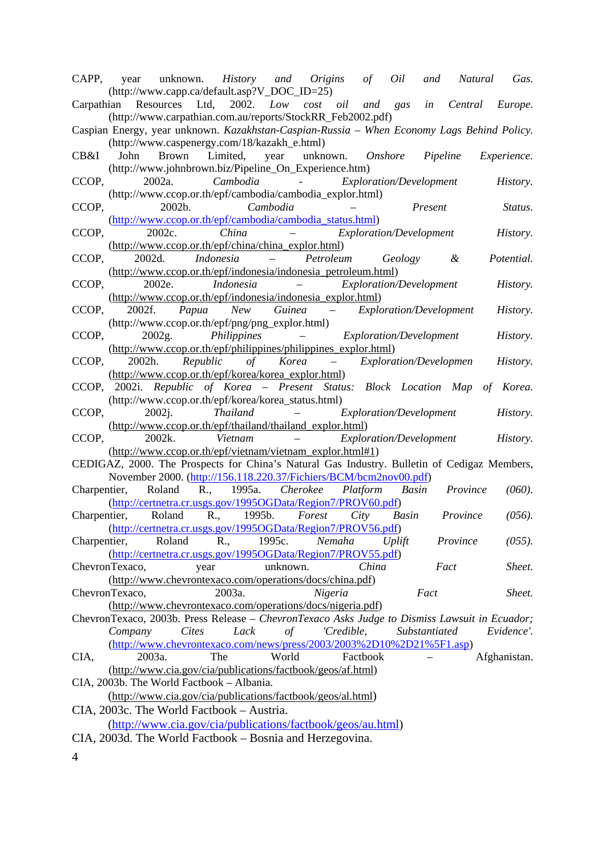| CAPP, year unknown. History and Origins of Oil and Natural Gas.<br>(http://www.capp.ca/default.asp?V_DOC_ID=25)                                                                                                               |  |  |  |  |  |
|-------------------------------------------------------------------------------------------------------------------------------------------------------------------------------------------------------------------------------|--|--|--|--|--|
| Carpathian Resources Ltd, 2002. Low cost oil and gas in Central Europe.<br>(http://www.carpathian.com.au/reports/StockRR_Feb2002.pdf)                                                                                         |  |  |  |  |  |
| Caspian Energy, year unknown. Kazakhstan-Caspian-Russia - When Economy Lags Behind Policy.<br>(http://www.caspenergy.com/18/kazakh_e.html)                                                                                    |  |  |  |  |  |
| Brown Limited, year unknown. Onshore Pipeline<br>CB&I<br>John<br>Experience.<br>(http://www.johnbrown.biz/Pipeline_On_Experience.htm)                                                                                         |  |  |  |  |  |
| CCOP,<br>2002a. Cambodia - Exploration/Development<br>History.<br>(http://www.ccop.or.th/epf/cambodia/cambodia_explor.html)                                                                                                   |  |  |  |  |  |
| 2002b. Cambodia<br>- Present<br>CCOP,<br>Status.<br>(http://www.ccop.or.th/epf/cambodia/cambodia_status.html)                                                                                                                 |  |  |  |  |  |
| - Exploration/Development<br>2002c. China<br>CCOP,<br>History.<br>(http://www.ccop.or.th/epf/china/china_explor.html)                                                                                                         |  |  |  |  |  |
| Indonesia – Petroleum Geology &<br>2002d.<br>Potential.<br>CCOP,<br>(http://www.ccop.or.th/epf/indonesia/indonesia_petroleum.html)                                                                                            |  |  |  |  |  |
| - Exploration/Development<br>2002e.<br>Indonesia<br>CCOP.<br>History.<br>(http://www.ccop.or.th/epf/indonesia/indonesia_explor.html)                                                                                          |  |  |  |  |  |
| 2002f. Papua New Guinea - Exploration/Development<br>CCOP,<br>History.<br>(http://www.ccop.or.th/epf/png/png_explor.html)                                                                                                     |  |  |  |  |  |
| 2002g. Philippines - Exploration/Development<br>CCOP,<br>History.<br>(http://www.ccop.or.th/epf/philippines/philippines_explor.html)                                                                                          |  |  |  |  |  |
| CCOP, 2002h. Republic of Korea - Exploration/Developmen<br>History.<br>(http://www.ccop.or.th/epf/korea/korea_explor.html)                                                                                                    |  |  |  |  |  |
| CCOP, 2002i. Republic of Korea - Present Status: Block Location Map of Korea.<br>(http://www.ccop.or.th/epf/korea/korea_status.html)                                                                                          |  |  |  |  |  |
| CCOP,<br>2002j. Thailand<br>- <i>Exploration/Development</i><br>History.<br>(http://www.ccop.or.th/epf/thailand/thailand_explor.html)                                                                                         |  |  |  |  |  |
| CCOP, 2002k. Vietnam<br>$\mathcal{L}(\mathcal{L}(\mathcal{L})) = \mathcal{L}(\mathcal{L}(\mathcal{L}))$<br><i>Exploration/Development</i><br>History.                                                                         |  |  |  |  |  |
| (http://www.ccop.or.th/epf/vietnam/vietnam_explor.html#1)<br>CEDIGAZ, 2000. The Prospects for China's Natural Gas Industry. Bulletin of Cedigaz Members,<br>November 2000. (http://156.118.220.37/Fichiers/BCM/bcm2nov00.pdf) |  |  |  |  |  |
| Charpentier, Roland R., 1995a. Cherokee Platform Basin Province<br>$(060)$ .<br>(http://certnetra.cr.usgs.gov/1995OGData/Region7/PROV60.pdf)                                                                                  |  |  |  |  |  |
| Charpentier, Roland R., 1995b. Forest City Basin Province<br>(056).<br>(http://certnetra.cr.usgs.gov/1995OGData/Region7/PROV56.pdf)                                                                                           |  |  |  |  |  |
| Roland<br>1995c.<br>$(055)$ .<br>Charpentier,<br>R.,<br>Nemaha<br>Province<br>Uplift<br>(http://certnetra.cr.usgs.gov/1995OGData/Region7/PROV55.pdf)                                                                          |  |  |  |  |  |
| China<br>unknown.<br>Fact<br>Sheet.<br>ChevronTexaco,<br>year                                                                                                                                                                 |  |  |  |  |  |
| (http://www.chevrontexaco.com/operations/docs/china.pdf)<br>ChevronTexaco,<br>2003a.<br>Nigeria<br>Fact<br>Sheet.<br>(http://www.chevrontexaco.com/operations/docs/nigeria.pdf)                                               |  |  |  |  |  |
| ChevronTexaco, 2003b. Press Release - ChevronTexaco Asks Judge to Dismiss Lawsuit in Ecuador;                                                                                                                                 |  |  |  |  |  |
| Company<br><b>Cites</b><br>Lack<br>$\sigma f$<br>'Credible,<br>Substantiated<br>Evidence'.<br>(http://www.chevrontexaco.com/news/press/2003/2003%2D10%2D21%5F1.asp)                                                           |  |  |  |  |  |
| The<br>World<br>CIA,<br>2003a.<br>Factbook<br>Afghanistan.<br>(http://www.cia.gov/cia/publications/factbook/geos/af.html)                                                                                                     |  |  |  |  |  |
| CIA, 2003b. The World Factbook - Albania.                                                                                                                                                                                     |  |  |  |  |  |
| (http://www.cia.gov/cia/publications/factbook/geos/al.html)<br>CIA, 2003c. The World Factbook – Austria.                                                                                                                      |  |  |  |  |  |
| (http://www.cia.gov/cia/publications/factbook/geos/au.html)<br>CIA, 2003d. The World Factbook – Bosnia and Herzegovina.                                                                                                       |  |  |  |  |  |
|                                                                                                                                                                                                                               |  |  |  |  |  |
| 4                                                                                                                                                                                                                             |  |  |  |  |  |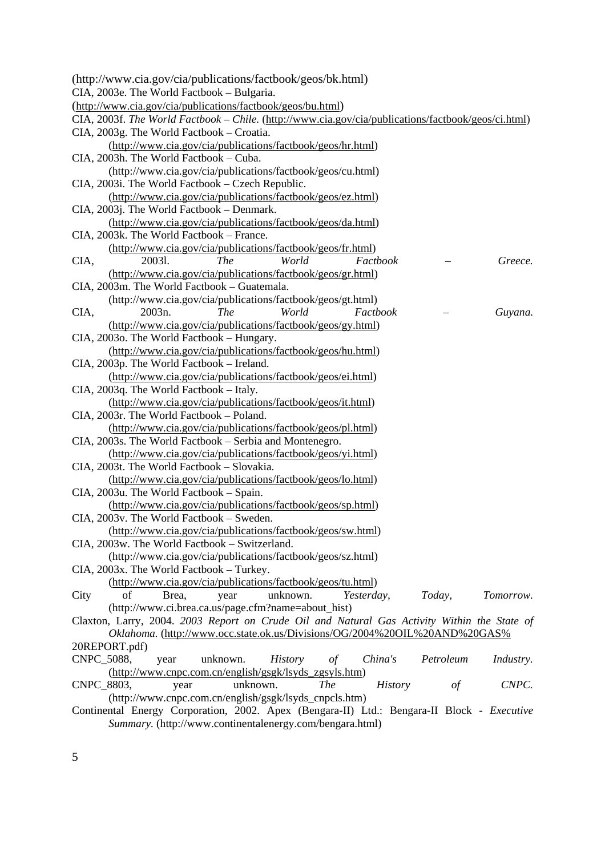| (http://www.cia.gov/cia/publications/factbook/geos/bk.html)                                              |                  |
|----------------------------------------------------------------------------------------------------------|------------------|
| CIA, 2003e. The World Factbook - Bulgaria.                                                               |                  |
| (http://www.cia.gov/cia/publications/factbook/geos/bu.html)                                              |                  |
| CIA, 2003f. The World Factbook - Chile. (http://www.cia.gov/cia/publications/factbook/geos/ci.html)      |                  |
| CIA, 2003g. The World Factbook - Croatia.                                                                |                  |
| (http://www.cia.gov/cia/publications/factbook/geos/hr.html)                                              |                  |
| CIA, 2003h. The World Factbook – Cuba.                                                                   |                  |
| (http://www.cia.gov/cia/publications/factbook/geos/cu.html)                                              |                  |
| CIA, 2003i. The World Factbook – Czech Republic.                                                         |                  |
| (http://www.cia.gov/cia/publications/factbook/geos/ez.html)                                              |                  |
| CIA, 2003j. The World Factbook - Denmark.                                                                |                  |
| (http://www.cia.gov/cia/publications/factbook/geos/da.html)                                              |                  |
| CIA, 2003k. The World Factbook - France.                                                                 |                  |
| (http://www.cia.gov/cia/publications/factbook/geos/fr.html)                                              |                  |
| <b>The</b><br>World<br>Factbook<br>20031.<br>CIA,                                                        | Greece.          |
| (http://www.cia.gov/cia/publications/factbook/geos/gr.html)                                              |                  |
| CIA, 2003m. The World Factbook - Guatemala.                                                              |                  |
| (http://www.cia.gov/cia/publications/factbook/geos/gt.html)                                              |                  |
| World<br>Factbook<br>2003n.<br><i>The</i><br>CIA,                                                        | Guyana.          |
| (http://www.cia.gov/cia/publications/factbook/geos/gy.html)                                              |                  |
| CIA, 2003o. The World Factbook - Hungary.                                                                |                  |
| (http://www.cia.gov/cia/publications/factbook/geos/hu.html)<br>CIA, 2003p. The World Factbook - Ireland. |                  |
|                                                                                                          |                  |
| (http://www.cia.gov/cia/publications/factbook/geos/ei.html)<br>CIA, 2003q. The World Factbook - Italy.   |                  |
| (http://www.cia.gov/cia/publications/factbook/geos/it.html)                                              |                  |
| CIA, 2003r. The World Factbook - Poland.                                                                 |                  |
| (http://www.cia.gov/cia/publications/factbook/geos/pl.html)                                              |                  |
| CIA, 2003s. The World Factbook – Serbia and Montenegro.                                                  |                  |
| (http://www.cia.gov/cia/publications/factbook/geos/yi.html)                                              |                  |
| CIA, 2003t. The World Factbook - Slovakia.                                                               |                  |
| (http://www.cia.gov/cia/publications/factbook/geos/lo.html)                                              |                  |
| CIA, 2003u. The World Factbook - Spain.                                                                  |                  |
| (http://www.cia.gov/cia/publications/factbook/geos/sp.html)                                              |                  |
| CIA, 2003v. The World Factbook - Sweden.                                                                 |                  |
| (http://www.cia.gov/cia/publications/factbook/geos/sw.html)                                              |                  |
| CIA, 2003w. The World Factbook - Switzerland.                                                            |                  |
| (http://www.cia.gov/cia/publications/factbook/geos/sz.html)                                              |                  |
| CIA, 2003x. The World Factbook - Turkey.                                                                 |                  |
| (http://www.cia.gov/cia/publications/factbook/geos/tu.html)                                              |                  |
| of<br>unknown.<br>Today,<br>City<br>Brea,<br>Yesterday,<br>year                                          | Tomorrow.        |
| (http://www.ci.brea.ca.us/page.cfm?name=about_hist)                                                      |                  |
| Claxton, Larry, 2004. 2003 Report on Crude Oil and Natural Gas Activity Within the State of              |                  |
| Oklahoma. (http://www.occ.state.ok.us/Divisions/OG/2004%20OIL%20AND%20GAS%                               |                  |
| 20REPORT.pdf)                                                                                            |                  |
| CNPC 5088,<br>unknown.<br><b>History</b><br>China's<br>Petroleum<br>year<br>$\sigma f$                   | <i>Industry.</i> |
| (http://www.cnpc.com.cn/english/gsgk/lsyds_zgsyls.htm)                                                   |                  |
| CNPC_8803,<br>unknown.<br>The<br><b>History</b><br>$\iota$<br>year                                       | CNPC.            |
| (http://www.cnpc.com.cn/english/gsgk/lsyds_cnpcls.htm)                                                   |                  |
| Continental Energy Corporation, 2002. Apex (Bengara-II) Ltd.: Bengara-II Block - Executive               |                  |
| Summary. (http://www.continentalenergy.com/bengara.html)                                                 |                  |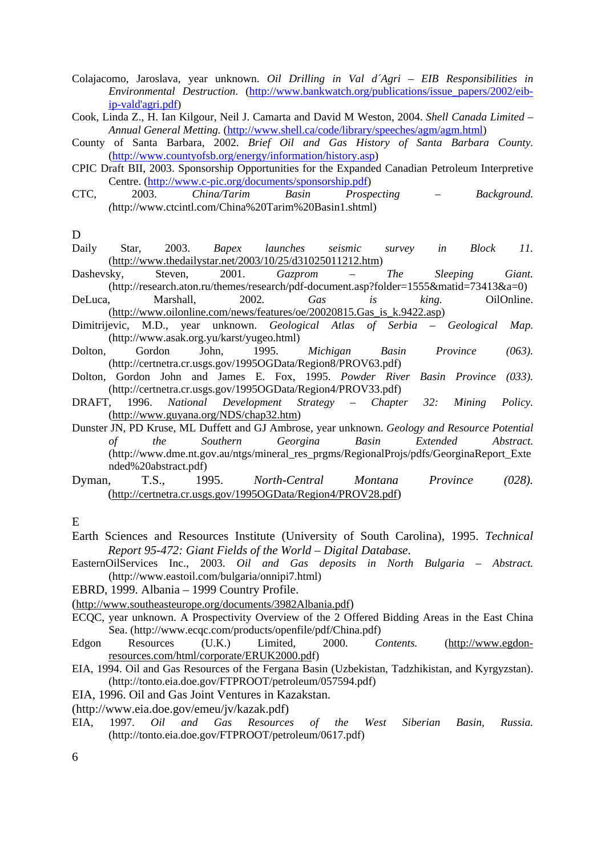Colajacomo, Jaroslava, year unknown. *Oil Drilling in Val d´Agri – EIB Responsibilities in Environmental Destruction*. (http://www.bankwatch.org/publications/issue\_papers/2002/eibip-vald'agri.pdf)

Cook, Linda Z., H. Ian Kilgour, Neil J. Camarta and David M Weston, 2004. *Shell Canada Limited – Annual General Metting.* (http://www.shell.ca/code/library/speeches/agm/agm.html)

- County of Santa Barbara, 2002. *Brief Oil and Gas History of Santa Barbara County.* (http://www.countyofsb.org/energy/information/history.asp)
- CPIC Draft BII, 2003. Sponsorship Opportunities for the Expanded Canadian Petroleum Interpretive Centre. (http://www.c-pic.org/documents/sponsorship.pdf)
- CTC, 2003. *China/Tarim Basin Prospecting Background. (*http://www.ctcintl.com/China%20Tarim%20Basin1.shtml)

D

- Daily Star, 2003. *Bapex launches seismic survey in Block 11.*  (http://www.thedailystar.net/2003/10/25/d31025011212.htm)
- Dashevsky, Steven, 2001. *Gazprom The Sleeping Giant.* (http://research.aton.ru/themes/research/pdf-document.asp?folder=1555&matid=73413&a=0)
- DeLuca, Marshall, 2002*. Gas is king.* OilOnline. (http://www.oilonline.com/news/features/oe/20020815.Gas\_is\_k.9422.asp)
- Dimitrijevic, M.D., year unknown. *Geological Atlas of Serbia Geological Map.*  (http://www.asak.org.yu/karst/yugeo.html)
- Dolton, Gordon John, 1995. *Michigan Basin Province (063).*  (http://certnetra.cr.usgs.gov/1995OGData/Region8/PROV63.pdf)
- Dolton, Gordon John and James E. Fox, 1995. *Powder River Basin Province (033).* (http://certnetra.cr.usgs.gov/1995OGData/Region4/PROV33.pdf)
- DRAFT, 1996. *National Development Strategy Chapter 32: Mining Policy.* (http://www.guyana.org/NDS/chap32.htm)
- Dunster JN, PD Kruse, ML Duffett and GJ Ambrose, year unknown. *Geology and Resource Potential of the Southern Georgina Basin Extended Abstract.* (http://www.dme.nt.gov.au/ntgs/mineral\_res\_prgms/RegionalProjs/pdfs/GeorginaReport\_Exte nded%20abstract.pdf)
- Dyman, T.S., 1995. *North-Central Montana Province (028).*  (http://certnetra.cr.usgs.gov/1995OGData/Region4/PROV28.pdf)

E

- Earth Sciences and Resources Institute (University of South Carolina), 1995. *Technical Report 95-472: Giant Fields of the World – Digital Database.*
- EasternOilServices Inc., 2003. *Oil and Gas deposits in North Bulgaria Abstract.* (http://www.eastoil.com/bulgaria/onnipi7.html)
- EBRD, 1999. Albania 1999 Country Profile.
- (http://www.southeasteurope.org/documents/3982Albania.pdf)
- ECQC, year unknown. A Prospectivity Overview of the 2 Offered Bidding Areas in the East China Sea. (http://www.ecqc.com/products/openfile/pdf/China.pdf)
- Edgon Resources (U.K.) Limited, 2000. *Contents.* (http://www.egdonresources.com/html/corporate/ERUK2000.pdf)
- EIA, 1994. Oil and Gas Resources of the Fergana Basin (Uzbekistan, Tadzhikistan, and Kyrgyzstan). (http://tonto.eia.doe.gov/FTPROOT/petroleum/057594.pdf)
- EIA, 1996. Oil and Gas Joint Ventures in Kazakstan.
- (http://www.eia.doe.gov/emeu/jv/kazak.pdf)
- EIA, 1997. *Oil and Gas Resources of the West Siberian Basin, Russia.* (http://tonto.eia.doe.gov/FTPROOT/petroleum/0617.pdf)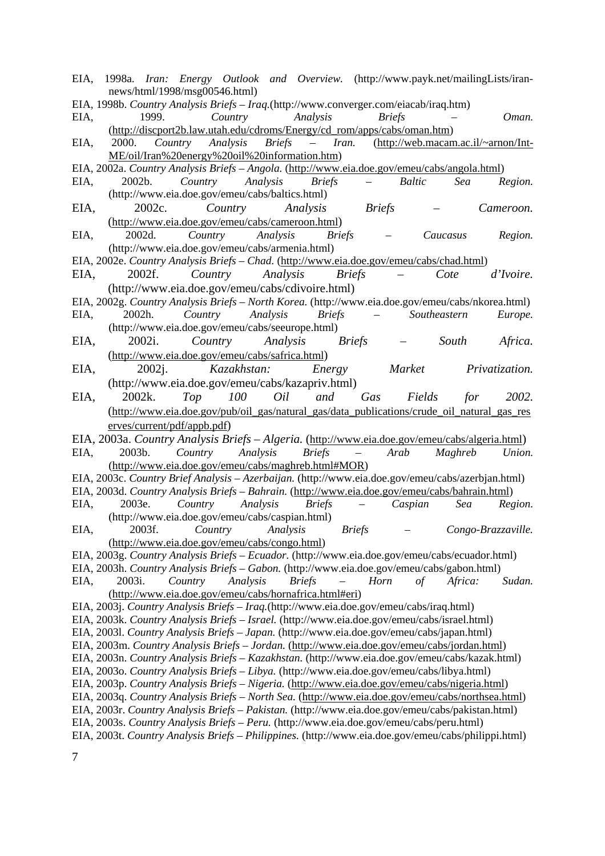- EIA, 1998a. *Iran: Energy Outlook and Overview.* (http://www.payk.net/mailingLists/irannews/html/1998/msg00546.html)
- EIA, 1998b. *Country Analysis Briefs Iraq.*(http://www.converger.com/eiacab/iraq.htm)
- EIA, 1999. *Country Analysis Briefs Oman.* (http://discport2b.law.utah.edu/cdroms/Energy/cd\_rom/apps/cabs/oman.htm)
- EIA, 2000. *Country Analysis Briefs Iran.* (http://web.macam.ac.il/~arnon/Int-ME/oil/Iran%20energy%20oil%20information.htm)
- EIA, 2002a. *Country Analysis Briefs Angola.* (http://www.eia.doe.gov/emeu/cabs/angola.html)
- EIA, 2002b. *Country Analysis Briefs Baltic Sea Region.* (http://www.eia.doe.gov/emeu/cabs/baltics.html)
- EIA, 2002c. *Country Analysis Briefs Cameroon.*  (http://www.eia.doe.gov/emeu/cabs/cameroon.html)
- EIA, 2002d. *Country Analysis Briefs Caucasus Region.*  (http://www.eia.doe.gov/emeu/cabs/armenia.html)
- EIA, 2002e. *Country Analysis Briefs Chad.* (http://www.eia.doe.gov/emeu/cabs/chad.html) EIA, 2002f. *Country Analysis Briefs – Cote d'Ivoire.*
- (http://www.eia.doe.gov/emeu/cabs/cdivoire.html)
- EIA, 2002g. *Country Analysis Briefs North Korea.* (http://www.eia.doe.gov/emeu/cabs/nkorea.html) EIA, 2002h. *Country Analysis Briefs – Southeastern Europe.* (http://www.eia.doe.gov/emeu/cabs/seeurope.html)
- EIA, 2002i. *Country Analysis Briefs South Africa.*  (http://www.eia.doe.gov/emeu/cabs/safrica.html)
- EIA, 2002j. *Kazakhstan: Energy Market Privatization.*  (http://www.eia.doe.gov/emeu/cabs/kazapriv.html)
- EIA, 2002k. *Top 100 Oil and Gas Fields for 2002.* (http://www.eia.doe.gov/pub/oil\_gas/natural\_gas/data\_publications/crude\_oil\_natural\_gas\_res erves/current/pdf/appb.pdf)
- EIA, 2003a. *Country Analysis Briefs Algeria.* (http://www.eia.doe.gov/emeu/cabs/algeria.html) EIA, 2003b. *Country Analysis Briefs – Arab Maghreb Union.*  (http://www.eia.doe.gov/emeu/cabs/maghreb.html#MOR)
- EIA, 2003c. *Country Brief Analysis Azerbaijan.* (http://www.eia.doe.gov/emeu/cabs/azerbjan.html)
- EIA, 2003d. *Country Analysis Briefs Bahrain.* (http://www.eia.doe.gov/emeu/cabs/bahrain.html)
- EIA, 2003e. *Country Analysis Briefs Caspian Sea Region.*  (http://www.eia.doe.gov/emeu/cabs/caspian.html) EIA, 2003f. *Country Analysis Briefs – Congo-Brazzaville.*
- (http://www.eia.doe.gov/emeu/cabs/congo.html) EIA, 2003g. *Country Analysis Briefs – Ecuador.* (http://www.eia.doe.gov/emeu/cabs/ecuador.html)
- 
- EIA, 2003h. *Country Analysis Briefs Gabon.* (http://www.eia.doe.gov/emeu/cabs/gabon.html) EIA, 2003i. *Country Analysis Briefs – Horn of Africa: Sudan.*  (http://www.eia.doe.gov/emeu/cabs/hornafrica.html#eri)
- EIA, 2003j. *Country Analysis Briefs Iraq.*(http://www.eia.doe.gov/emeu/cabs/iraq.html)
- EIA, 2003k. *Country Analysis Briefs Israel.* (http://www.eia.doe.gov/emeu/cabs/israel.html)
- EIA, 2003l. *Country Analysis Briefs Japan.* (http://www.eia.doe.gov/emeu/cabs/japan.html)
- EIA, 2003m. *Country Analysis Briefs Jordan.* (http://www.eia.doe.gov/emeu/cabs/jordan.html)
- EIA, 2003n. *Country Analysis Briefs Kazakhstan.* (http://www.eia.doe.gov/emeu/cabs/kazak.html)
- EIA, 2003o. *Country Analysis Briefs Libya.* (http://www.eia.doe.gov/emeu/cabs/libya.html)
- EIA, 2003p. *Country Analysis Briefs Nigeria.* (http://www.eia.doe.gov/emeu/cabs/nigeria.html)
- EIA, 2003q. *Country Analysis Briefs – North Sea.* (http://www.eia.doe.gov/emeu/cabs/northsea.html)
- EIA, 2003r. *Country Analysis Briefs Pakistan.* (http://www.eia.doe.gov/emeu/cabs/pakistan.html)
- EIA, 2003s. *Country Analysis Briefs Peru.* (http://www.eia.doe.gov/emeu/cabs/peru.html)
- EIA, 2003t. *Country Analysis Briefs Philippines.* (http://www.eia.doe.gov/emeu/cabs/philippi.html)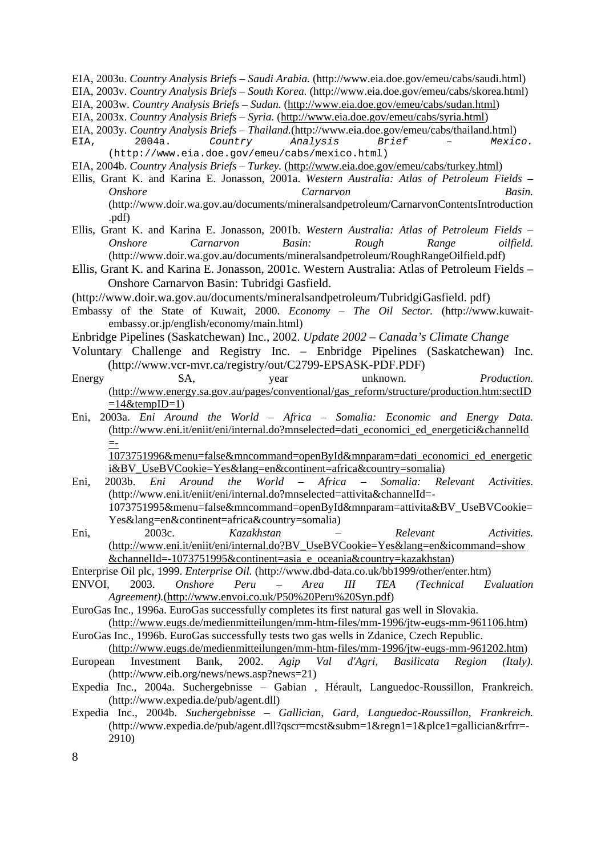EIA, 2003u. *Country Analysis Briefs – Saudi Arabia.* (http://www.eia.doe.gov/emeu/cabs/saudi.html)

- EIA, 2003v. *Country Analysis Briefs South Korea.* (http://www.eia.doe.gov/emeu/cabs/skorea.html)
- EIA, 2003w. *Country Analysis Briefs Sudan.* (http://www.eia.doe.gov/emeu/cabs/sudan.html)
- EIA, 2003x. *Country Analysis Briefs Syria.* (http://www.eia.doe.gov/emeu/cabs/syria.html)

EIA, 2003y. *Country Analysis Briefs – Thailand.*(http://www.eia.doe.gov/emeu/cabs/thailand.html) EIA, 2004a. *Country Analysis Brief – Mexico.*

(http://www.eia.doe.gov/emeu/cabs/mexico.html)

EIA, 2004b. *Country Analysis Briefs – Turkey.* (http://www.eia.doe.gov/emeu/cabs/turkey.html)

- Ellis, Grant K. and Karina E. Jonasson, 2001a. *Western Australia: Atlas of Petroleum Fields Onshore Carnarvon Basin.* (http://www.doir.wa.gov.au/documents/mineralsandpetroleum/CarnarvonContentsIntroduction .pdf)
- Ellis, Grant K. and Karina E. Jonasson, 2001b. *Western Australia: Atlas of Petroleum Fields Onshore Carnarvon Basin: Rough Range oilfield.* (http://www.doir.wa.gov.au/documents/mineralsandpetroleum/RoughRangeOilfield.pdf)
- Ellis, Grant K. and Karina E. Jonasson, 2001c. Western Australia: Atlas of Petroleum Fields Onshore Carnarvon Basin: Tubridgi Gasfield.

(http://www.doir.wa.gov.au/documents/mineralsandpetroleum/TubridgiGasfield. pdf)

- Embassy of the State of Kuwait, 2000. *Economy The Oil Sector.* (http://www.kuwaitembassy.or.jp/english/economy/main.html)
- Enbridge Pipelines (Saskatchewan) Inc., 2002. *Update 2002 Canada's Climate Change*
- Voluntary Challenge and Registry Inc. Enbridge Pipelines (Saskatchewan) Inc. (http://www.vcr-mvr.ca/registry/out/C2799-EPSASK-PDF.PDF)
- Energy SA, year unknown. *Production.* (http://www.energy.sa.gov.au/pages/conventional/gas\_reform/structure/production.htm:sectID  $=14$ &tempID $=1$ )
- Eni, 2003a. *Eni Around the World Africa Somalia: Economic and Energy Data.*  (http://www.eni.it/eniit/eni/internal.do?mnselected=dati\_economici\_ed\_energetici&channelId =-

1073751996&menu=false&mncommand=openById&mnparam=dati\_economici\_ed\_energetic i&BV\_UseBVCookie=Yes&lang=en&continent=africa&country=somalia)

- Eni, 2003b. *Eni Around the World Africa Somalia: Relevant Activities.*  (http://www.eni.it/eniit/eni/internal.do?mnselected=attivita&channelId=- 1073751995&menu=false&mncommand=openById&mnparam=attivita&BV\_UseBVCookie= Yes&lang=en&continent=africa&country=somalia)
- Eni, 2003c. *Kazakhstan Relevant Activities.*  (http://www.eni.it/eniit/eni/internal.do?BV\_UseBVCookie=Yes&lang=en&icommand=show &channelId=-1073751995&continent=asia\_e\_oceania&country=kazakhstan)

Enterprise Oil plc, 1999. *Enterprise Oil.* (http://www.dbd-data.co.uk/bb1999/other/enter.htm)

- ENVOI, 2003. *Onshore Peru Area III TEA (Technical Evaluation Agreement).*(http://www.envoi.co.uk/P50%20Peru%20Syn.pdf)
- EuroGas Inc., 1996a. EuroGas successfully completes its first natural gas well in Slovakia. (http://www.eugs.de/medienmitteilungen/mm-htm-files/mm-1996/jtw-eugs-mm-961106.htm)
- EuroGas Inc., 1996b. EuroGas successfully tests two gas wells in Zdanice, Czech Republic. (http://www.eugs.de/medienmitteilungen/mm-htm-files/mm-1996/jtw-eugs-mm-961202.htm)
- European Investment Bank, 2002. *Agip Val d'Agri, Basilicata Region (Italy).*  (http://www.eib.org/news/news.asp?news=21)
- Expedia Inc., 2004a. Suchergebnisse Gabian , Hérault, Languedoc-Roussillon, Frankreich. (http://www.expedia.de/pub/agent.dll)
- Expedia Inc., 2004b. *Suchergebnisse Gallician, Gard, Languedoc-Roussillon, Frankreich.*  (http://www.expedia.de/pub/agent.dll?qscr=mcst&subm=1&regn1=1&plce1=gallician&rfrr=-2910)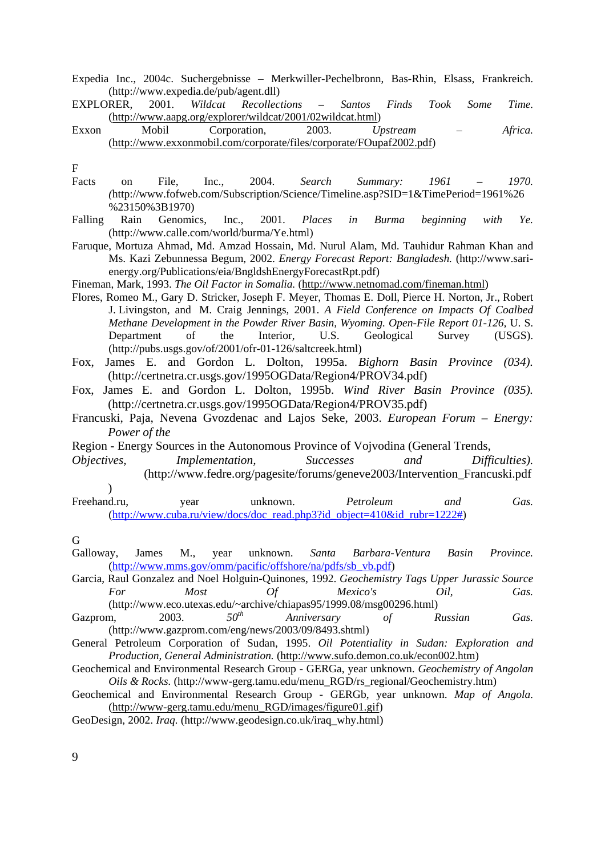Expedia Inc., 2004c. Suchergebnisse – Merkwiller-Pechelbronn, Bas-Rhin, Elsass, Frankreich. (http://www.expedia.de/pub/agent.dll)

EXPLORER, 2001. *Wildcat Recollections – Santos Finds Took Some Time.*  (http://www.aapg.org/explorer/wildcat/2001/02wildcat.html)

Exxon Mobil Corporation, 2003. *Upstream – Africa.*  (http://www.exxonmobil.com/corporate/files/corporate/FOupaf2002.pdf)

F

- Facts on File, Inc., 2004. *Search Summary: 1961 1970. (*http://www.fofweb.com/Subscription/Science/Timeline.asp?SID=1&TimePeriod=1961%26 %23150%3B1970)
- Falling Rain Genomics, Inc., 2001. *Places in Burma beginning with Ye.* (http://www.calle.com/world/burma/Ye.html)
- Faruque, Mortuza Ahmad, Md. Amzad Hossain, Md. Nurul Alam, Md. Tauhidur Rahman Khan and Ms. Kazi Zebunnessa Begum, 2002. *Energy Forecast Report: Bangladesh.* (http://www.sarienergy.org/Publications/eia/BngldshEnergyForecastRpt.pdf)
- Fineman, Mark, 1993. *The Oil Factor in Somalia.* (http://www.netnomad.com/fineman.html)
- Flores, Romeo M., Gary D. Stricker, Joseph F. Meyer, Thomas E. Doll, Pierce H. Norton, Jr., Robert J. Livingston, and M. Craig Jennings, 2001. *A Field Conference on Impacts Of Coalbed Methane Development in the Powder River Basin, Wyoming. Open-File Report 01-126,* U. S. Department of the Interior, U.S. Geological Survey (USGS). (http://pubs.usgs.gov/of/2001/ofr-01-126/saltcreek.html)
- Fox, James E. and Gordon L. Dolton, 1995a. *Bighorn Basin Province (034).* (http://certnetra.cr.usgs.gov/1995OGData/Region4/PROV34.pdf)
- Fox, James E. and Gordon L. Dolton, 1995b. *Wind River Basin Province (035).* (http://certnetra.cr.usgs.gov/1995OGData/Region4/PROV35.pdf)
- Francuski, Paja, Nevena Gvozdenac and Lajos Seke, 2003. *European Forum Energy: Power of the*
- Region Energy Sources in the Autonomous Province of Vojvodina (General Trends,
- *Objectives, Implementation, Successes and Difficulties).* (http://www.fedre.org/pagesite/forums/geneve2003/Intervention\_Francuski.pdf )
- Freehand.ru, year unknown. *Petroleum and Gas.* (http://www.cuba.ru/view/docs/doc\_read.php3?id\_object=410&id\_rubr=1222#)

G

- Galloway, James M., year unknown. *Santa Barbara-Ventura Basin Province.* (http://www.mms.gov/omm/pacific/offshore/na/pdfs/sb\_vb.pdf)
- Garcia, Raul Gonzalez and Noel Holguin-Quinones, 1992. *Geochemistry Tags Upper Jurassic Source For Most Of Mexico's Oil, Gas.*  (http://www.eco.utexas.edu/~archive/chiapas95/1999.08/msg00296.html)
- Gazprom, 2003. 50<sup>th</sup> Anniversary of Russian Gas. (http://www.gazprom.com/eng/news/2003/09/8493.shtml)
- General Petroleum Corporation of Sudan, 1995. *Oil Potentiality in Sudan: Exploration and Production, General Administration.* (http://www.sufo.demon.co.uk/econ002.htm)
- Geochemical and Environmental Research Group GERGa, year unknown. *Geochemistry of Angolan Oils & Rocks.* (http://www-gerg.tamu.edu/menu\_RGD/rs\_regional/Geochemistry.htm)
- Geochemical and Environmental Research Group GERGb, year unknown. *Map of Angola.* (http://www-gerg.tamu.edu/menu\_RGD/images/figure01.gif)
- GeoDesign, 2002. *Iraq.* (http://www.geodesign.co.uk/iraq\_why.html)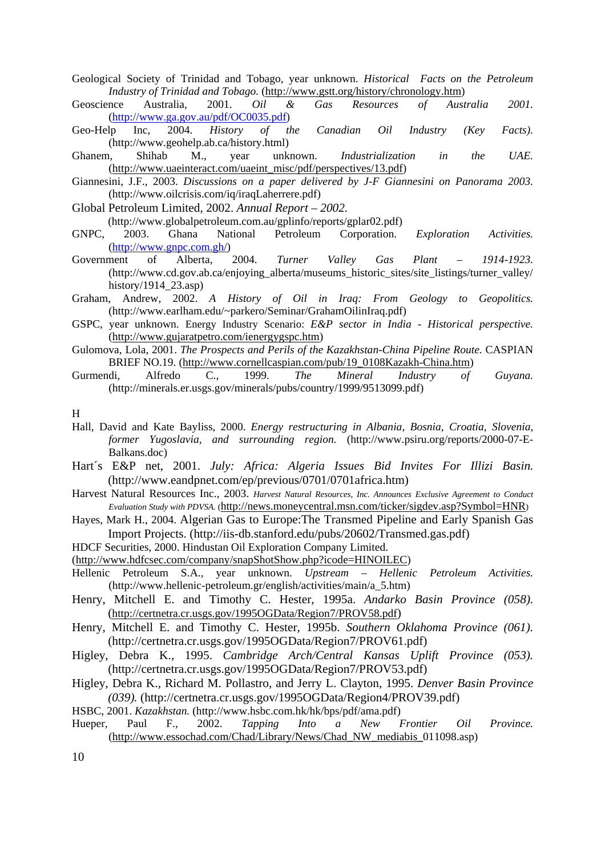Geological Society of Trinidad and Tobago, year unknown. *Historical Facts on the Petroleum Industry of Trinidad and Tobago.* (http://www.gstt.org/history/chronology.htm)

Geoscience Australia, 2001. *Oil & Gas Resources of Australia 2001.* (http://www.ga.gov.au/pdf/OC0035.pdf)

Geo-Help Inc, 2004. *History of the Canadian Oil Industry (Key Facts).* (http://www.geohelp.ab.ca/history.html)

Ghanem, Shihab M., year unknown. *Industrialization in the UAE.*  (http://www.uaeinteract.com/uaeint\_misc/pdf/perspectives/13.pdf)

Giannesini, J.F., 2003. *Discussions on a paper delivered by J-F Giannesini on Panorama 2003.*  (http://www.oilcrisis.com/iq/iraqLaherrere.pdf)

Global Petroleum Limited, 2002. *Annual Report – 2002.*

(http://www.globalpetroleum.com.au/gplinfo/reports/gplar02.pdf)

- GNPC, 2003. Ghana National Petroleum Corporation. *Exploration Activities.*  (http://www.gnpc.com.gh/)
- Government of Alberta, 2004. *Turner Valley Gas Plant 1914-1923.*  (http://www.cd.gov.ab.ca/enjoying\_alberta/museums\_historic\_sites/site\_listings/turner\_valley/ history/1914 $23.$ asp)
- Graham, Andrew, 2002. *A History of Oil in Iraq: From Geology to Geopolitics.*  (http://www.earlham.edu/~parkero/Seminar/GrahamOilinIraq.pdf)
- GSPC, year unknown. Energy Industry Scenario: *E&P sector in India Historical perspective.* (http://www.gujaratpetro.com/ienergygspc.htm)
- Gulomova, Lola, 2001. *The Prospects and Perils of the Kazakhstan-China Pipeline Route.* CASPIAN BRIEF NO.19. (http://www.cornellcaspian.com/pub/19\_0108Kazakh-China.htm)<br>di, Alfredo C., 1999. The Mineral Industry of
- Gurmendi, Alfredo C., 1999. *The Mineral Industry of Guyana.* (http://minerals.er.usgs.gov/minerals/pubs/country/1999/9513099.pdf)

H

- Hall, David and Kate Bayliss, 2000. *Energy restructuring in Albania, Bosnia, Croatia, Slovenia, former Yugoslavia, and surrounding region.* (http://www.psiru.org/reports/2000-07-E-Balkans.doc)
- Hart´s E&P net, 2001. *July: Africa: Algeria Issues Bid Invites For Illizi Basin.* (http://www.eandpnet.com/ep/previous/0701/0701africa.htm)
- Harvest Natural Resources Inc., 2003. *Harvest Natural Resources, Inc. Announces Exclusive Agreement to Conduct Evaluation Study with PDVSA.* (http://news.moneycentral.msn.com/ticker/sigdev.asp?Symbol=HNR)
- Hayes, Mark H., 2004. Algerian Gas to Europe:The Transmed Pipeline and Early Spanish Gas Import Projects. (http://iis-db.stanford.edu/pubs/20602/Transmed.gas.pdf)
- HDCF Securities, 2000. Hindustan Oil Exploration Company Limited.

(http://www.hdfcsec.com/company/snapShotShow.php?icode=HINOILEC)

- Hellenic Petroleum S.A., year unknown. *Upstream Hellenic Petroleum Activities.* (http://www.hellenic-petroleum.gr/english/activities/main/a\_5.htm)
- Henry, Mitchell E. and Timothy C. Hester, 1995a. *Andarko Basin Province (058).* (http://certnetra.cr.usgs.gov/1995OGData/Region7/PROV58.pdf)
- Henry, Mitchell E. and Timothy C. Hester, 1995b. *Southern Oklahoma Province (061).* (http://certnetra.cr.usgs.gov/1995OGData/Region7/PROV61.pdf)
- Higley, Debra K., 1995. *Cambridge Arch/Central Kansas Uplift Province (053).* (http://certnetra.cr.usgs.gov/1995OGData/Region7/PROV53.pdf)
- Higley, Debra K., Richard M. Pollastro, and Jerry L. Clayton, 1995. *Denver Basin Province (039).* (http://certnetra.cr.usgs.gov/1995OGData/Region4/PROV39.pdf)
- HSBC, 2001. *Kazakhstan.* (http://www.hsbc.com.hk/hk/bps/pdf/ama.pdf)
- Hueper, Paul F., 2002. *Tapping Into a New Frontier Oil Province.*  (http://www.essochad.com/Chad/Library/News/Chad\_NW\_mediabis\_011098.asp)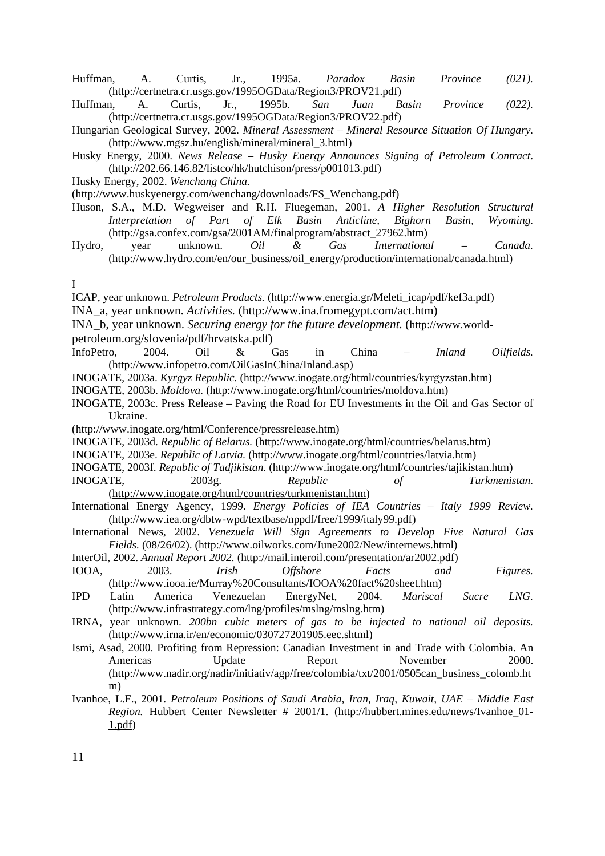- Huffman, A. Curtis, Jr., 1995a. *Paradox Basin Province (021).* (http://certnetra.cr.usgs.gov/1995OGData/Region3/PROV21.pdf)
- Huffman, A. Curtis, Jr., 1995b. *San Juan Basin Province (022).* (http://certnetra.cr.usgs.gov/1995OGData/Region3/PROV22.pdf)
- Hungarian Geological Survey, 2002. *Mineral Assessment Mineral Resource Situation Of Hungary.* (http://www.mgsz.hu/english/mineral/mineral\_3.html)
- Husky Energy, 2000. *News Release – Husky Energy Announces Signing of Petroleum Contract*. (http://202.66.146.82/listco/hk/hutchison/press/p001013.pdf)
- Husky Energy, 2002. *Wenchang China.*

(http://www.huskyenergy.com/wenchang/downloads/FS\_Wenchang.pdf)

- Huson, S.A., M.D. Wegweiser and R.H. Fluegeman, 2001. *A Higher Resolution Structural Interpretation of Part of Elk Basin Anticline, Bighorn Basin, Wyoming.*  (http://gsa.confex.com/gsa/2001AM/finalprogram/abstract\_27962.htm)
- Hydro, year unknown. *Oil & Gas International Canada.* (http://www.hydro.com/en/our\_business/oil\_energy/production/international/canada.html)

#### I

ICAP, year unknown. *Petroleum Products.* (http://www.energia.gr/Meleti\_icap/pdf/kef3a.pdf)

- INA\_a, year unknown. *Activities.* (http://www.ina.fromegypt.com/act.htm)
- INA\_b, year unknown. *Securing energy for the future development.* (http://www.world-

petroleum.org/slovenia/pdf/hrvatska.pdf)

- InfoPetro, 2004. Oil & Gas in China *Inland Oilfields.*  (http://www.infopetro.com/OilGasInChina/Inland.asp)
- INOGATE, 2003a. *Kyrgyz Republic.* (http://www.inogate.org/html/countries/kyrgyzstan.htm)
- INOGATE, 2003b. *Moldova.* (http://www.inogate.org/html/countries/moldova.htm)
- INOGATE, 2003c. Press Release Paving the Road for EU Investments in the Oil and Gas Sector of Ukraine.
- (http://www.inogate.org/html/Conference/pressrelease.htm)
- INOGATE, 2003d. *Republic of Belarus.* (http://www.inogate.org/html/countries/belarus.htm)
- INOGATE, 2003e. *Republic of Latvia.* (http://www.inogate.org/html/countries/latvia.htm)

INOGATE, 2003f. *Republic of Tadjikistan.* (http://www.inogate.org/html/countries/tajikistan.htm) INOGATE, 2003g. *Republic of Turkmenistan.*

- (http://www.inogate.org/html/countries/turkmenistan.htm) International Energy Agency, 1999. *Energy Policies of IEA Countries – Italy 1999 Review.* (http://www.iea.org/dbtw-wpd/textbase/nppdf/free/1999/italy99.pdf)
- International News, 2002. *Venezuela Will Sign Agreements to Develop Five Natural Gas Fields.* (08/26/02). (http://www.oilworks.com/June2002/New/internews.html)
- InterOil, 2002. *Annual Report 2002.* (http://mail.interoil.com/presentation/ar2002.pdf)
- IOOA, 2003. *Irish Offshore Facts and Figures.*  (http://www.iooa.ie/Murray%20Consultants/IOOA%20fact%20sheet.htm)
- IPD Latin America Venezuelan EnergyNet, 2004. *Mariscal Sucre LNG.*  (http://www.infrastrategy.com/lng/profiles/mslng/mslng.htm)
- IRNA, year unknown. *200bn cubic meters of gas to be injected to national oil deposits.*  (http://www.irna.ir/en/economic/030727201905.eec.shtml)
- Ismi, Asad, 2000. Profiting from Repression: Canadian Investment in and Trade with Colombia. An Americas Update Report November 2000. (http://www.nadir.org/nadir/initiativ/agp/free/colombia/txt/2001/0505can\_business\_colomb.ht m)
- Ivanhoe, L.F., 2001. *Petroleum Positions of Saudi Arabia, Iran, Iraq, Kuwait, UAE Middle East Region.* Hubbert Center Newsletter # 2001/1. (http://hubbert.mines.edu/news/Ivanhoe\_01- 1.pdf)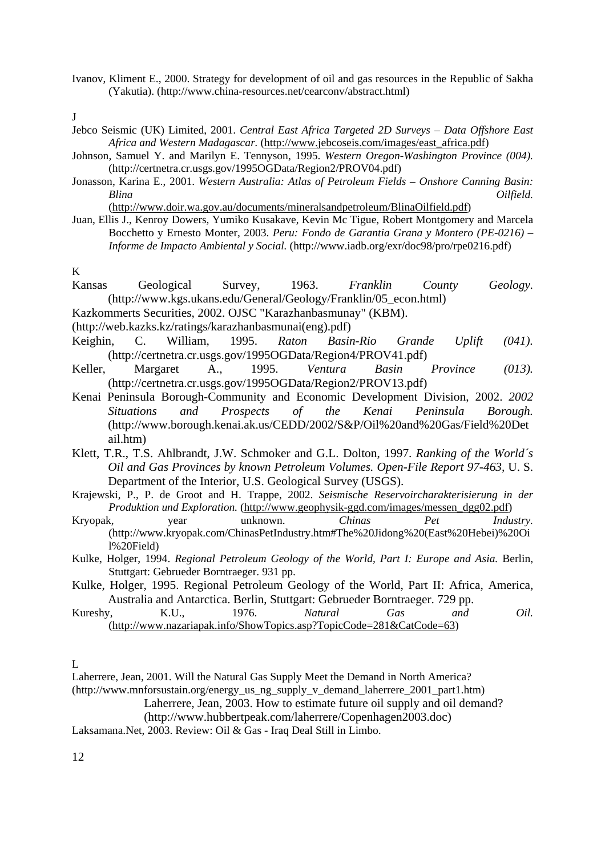Ivanov, Kliment E., 2000. Strategy for development of oil and gas resources in the Republic of Sakha (Yakutia). (http://www.china-resources.net/cearconv/abstract.html)

J

- Jebco Seismic (UK) Limited, 2001. *Central East Africa Targeted 2D Surveys Data Offshore East Africa and Western Madagascar.* (http://www.jebcoseis.com/images/east\_africa.pdf)
- Johnson, Samuel Y. and Marilyn E. Tennyson, 1995. *Western Oregon-Washington Province (004).*  (http://certnetra.cr.usgs.gov/1995OGData/Region2/PROV04.pdf)
- Jonasson, Karina E., 2001. *Western Australia: Atlas of Petroleum Fields Onshore Canning Basin: Blina Oilfield.*

(http://www.doir.wa.gov.au/documents/mineralsandpetroleum/BlinaOilfield.pdf)

Juan, Ellis J., Kenroy Dowers, Yumiko Kusakave, Kevin Mc Tigue, Robert Montgomery and Marcela Bocchetto y Ernesto Monter, 2003. *Peru: Fondo de Garantia Grana y Montero (PE-0216) – Informe de Impacto Ambiental y Social.* (http://www.iadb.org/exr/doc98/pro/rpe0216.pdf)

## K

- Kansas Geological Survey, 1963. *Franklin County Geology.*  (http://www.kgs.ukans.edu/General/Geology/Franklin/05\_econ.html)
- Kazkommerts Securities, 2002. OJSC "Karazhanbasmunay" (KBM).
- (http://web.kazks.kz/ratings/karazhanbasmunai(eng).pdf)
- Keighin, C. William, 1995. *Raton Basin-Rio Grande Uplift (041).* (http://certnetra.cr.usgs.gov/1995OGData/Region4/PROV41.pdf)
- Keller, Margaret A., 1995. *Ventura Basin Province (013).*  (http://certnetra.cr.usgs.gov/1995OGData/Region2/PROV13.pdf)
- Kenai Peninsula Borough-Community and Economic Development Division, 2002. *2002 Situations and Prospects of the Kenai Peninsula Borough.* (http://www.borough.kenai.ak.us/CEDD/2002/S&P/Oil%20and%20Gas/Field%20Det ail.htm)
- Klett, T.R., T.S. Ahlbrandt, J.W. Schmoker and G.L. Dolton, 1997. *Ranking of the World´s Oil and Gas Provinces by known Petroleum Volumes. Open-File Report 97-463,* U. S. Department of the Interior, U.S. Geological Survey (USGS).
- Krajewski, P., P. de Groot and H. Trappe, 2002. *Seismische Reservoircharakterisierung in der Produktion und Exploration.* (http://www.geophysik-ggd.com/images/messen\_dgg02.pdf)
- Kryopak, year unknown. *Chinas Pet Industry.*  (http://www.kryopak.com/ChinasPetIndustry.htm#The%20Jidong%20(East%20Hebei)%20Oi l%20Field)
- Kulke, Holger, 1994. *Regional Petroleum Geology of the World, Part I: Europe and Asia.* Berlin, Stuttgart: Gebrueder Borntraeger. 931 pp.
- Kulke, Holger, 1995. Regional Petroleum Geology of the World, Part II: Africa, America, Australia and Antarctica. Berlin, Stuttgart: Gebrueder Borntraeger. 729 pp.

| Kureshy,                                                                |  | 1976. | Natural | Gas | and | Oil. |  |  |
|-------------------------------------------------------------------------|--|-------|---------|-----|-----|------|--|--|
| $(http://www.nazariapak.info/ShowTopics. asp?TopicCode=281&CatCode=63)$ |  |       |         |     |     |      |  |  |

L

Laherrere, Jean, 2001. Will the Natural Gas Supply Meet the Demand in North America?

(http://www.mnforsustain.org/energy\_us\_ng\_supply\_v\_demand\_laherrere\_2001\_part1.htm)

Laherrere, Jean, 2003. How to estimate future oil supply and oil demand?

(http://www.hubbertpeak.com/laherrere/Copenhagen2003.doc)

Laksamana.Net, 2003. Review: Oil & Gas - Iraq Deal Still in Limbo.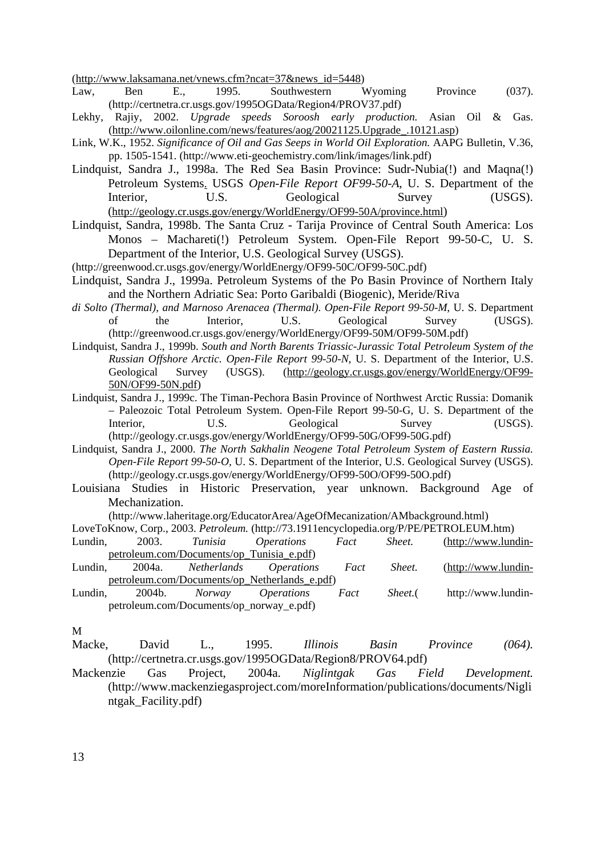(http://www.laksamana.net/vnews.cfm?ncat=37&news\_id=5448)

- Law, Ben E., 1995. Southwestern Wyoming Province (037). (http://certnetra.cr.usgs.gov/1995OGData/Region4/PROV37.pdf)
- Lekhy, Rajiy, 2002. *Upgrade speeds Soroosh early production.* Asian Oil & Gas. (http://www.oilonline.com/news/features/aog/20021125.Upgrade\_.10121.asp)
- Link, W.K., 1952. *Significance of Oil and Gas Seeps in World Oil Exploration.* AAPG Bulletin, V.36, pp. 1505-1541. (http://www.eti-geochemistry.com/link/images/link.pdf)
- Lindquist, Sandra J., 1998a. The Red Sea Basin Province: Sudr-Nubia(!) and Maqna(!) Petroleum Systems. USGS *Open-File Report OF99-50-A*, U. S. Department of the Interior. U.S. Geological Survey (USGS). (http://geology.cr.usgs.gov/energy/WorldEnergy/OF99-50A/province.html)
- Lindquist, Sandra, 1998b. The Santa Cruz Tarija Province of Central South America: Los Monos – Machareti(!) Petroleum System. Open-File Report 99-50-C, U. S. Department of the Interior, U.S. Geological Survey (USGS).
- (http://greenwood.cr.usgs.gov/energy/WorldEnergy/OF99-50C/OF99-50C.pdf)
- Lindquist, Sandra J., 1999a. Petroleum Systems of the Po Basin Province of Northern Italy and the Northern Adriatic Sea: Porto Garibaldi (Biogenic), Meride/Riva
- *di Solto (Thermal), and Marnoso Arenacea (Thermal). Open-File Report 99-50-M*, U. S. Department of the Interior, U.S. Geological Survey (USGS). (http://greenwood.cr.usgs.gov/energy/WorldEnergy/OF99-50M/OF99-50M.pdf)
- Lindquist, Sandra J., 1999b. *South and North Barents Triassic-Jurassic Total Petroleum System of the Russian Offshore Arctic. Open-File Report 99-50-N,* U. S. Department of the Interior, U.S. Geological Survey (USGS). (http://geology.cr.usgs.gov/energy/WorldEnergy/OF99- 50N/OF99-50N.pdf)
- Lindquist, Sandra J., 1999c. The Timan-Pechora Basin Province of Northwest Arctic Russia: Domanik – Paleozoic Total Petroleum System. Open-File Report 99-50-G, U. S. Department of the Interior,  $U.S.$  Geological Survey (USGS). (http://geology.cr.usgs.gov/energy/WorldEnergy/OF99-50G/OF99-50G.pdf)
- Lindquist, Sandra J., 2000. *The North Sakhalin Neogene Total Petroleum System of Eastern Russia. Open-File Report 99-50-O,* U. S. Department of the Interior, U.S. Geological Survey (USGS). (http://geology.cr.usgs.gov/energy/WorldEnergy/OF99-50O/OF99-50O.pdf)
- Louisiana Studies in Historic Preservation, year unknown. Background Age of Mechanization.

(http://www.laheritage.org/EducatorArea/AgeOfMecanization/AMbackground.html)

- LoveToKnow, Corp., 2003. *Petroleum.* (http://73.1911encyclopedia.org/P/PE/PETROLEUM.htm) Lundin, 2003. *Tunisia Operations Fact Sheet.* (http://www.lundinpetroleum.com/Documents/op\_Tunisia\_e.pdf) Lundin, 2004a. *Netherlands Operations Fact Sheet.* (http://www.lundinpetroleum.com/Documents/op\_Netherlands\_e.pdf)
- Lundin, 2004b. *Norway Operations Fact Sheet.*( http://www.lundinpetroleum.com/Documents/op\_norway\_e.pdf)

- Macke, David L., 1995. *Illinois Basin Province (064).*  (http://certnetra.cr.usgs.gov/1995OGData/Region8/PROV64.pdf)
- Mackenzie Gas Project, 2004a. *Niglintgak Gas Field Development.* (http://www.mackenziegasproject.com/moreInformation/publications/documents/Nigli ntgak\_Facility.pdf)

M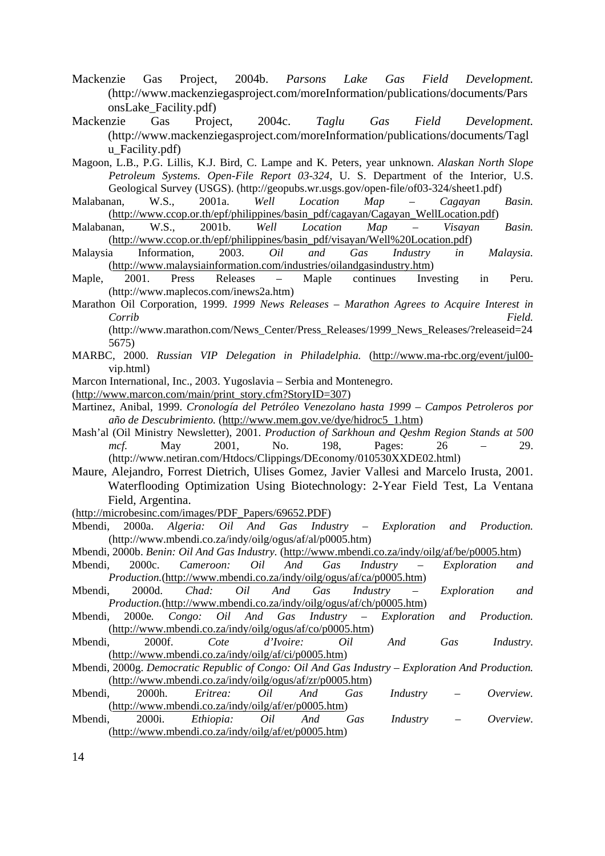- Mackenzie Gas Project, 2004b. *Parsons Lake Gas Field Development.* (http://www.mackenziegasproject.com/moreInformation/publications/documents/Pars onsLake\_Facility.pdf)
- Mackenzie Gas Project, 2004c. *Taglu Gas Field Development.*  (http://www.mackenziegasproject.com/moreInformation/publications/documents/Tagl u\_Facility.pdf)
- Magoon, L.B., P.G. Lillis, K.J. Bird, C. Lampe and K. Peters, year unknown. *Alaskan North Slope Petroleum Systems. Open-File Report 03-324*, U. S. Department of the Interior, U.S. Geological Survey (USGS). (http://geopubs.wr.usgs.gov/open-file/of03-324/sheet1.pdf)
- Malabanan, W.S., 2001a. *Well Location Map Cagayan Basin.*  (http://www.ccop.or.th/epf/philippines/basin\_pdf/cagayan/Cagayan\_WellLocation.pdf)
- Malabanan, W.S., 2001b. *Well Location Map Visayan Basin.*  (http://www.ccop.or.th/epf/philippines/basin\_pdf/visayan/Well%20Location.pdf)
- Malaysia Information, 2003. *Oil and Gas Industry in Malaysia.* (http://www.malaysiainformation.com/industries/oilandgasindustry.htm)
- Maple, 2001. Press Releases Maple continues Investing in Peru. (http://www.maplecos.com/inews2a.htm)
- Marathon Oil Corporation, 1999. *1999 News Releases Marathon Agrees to Acquire Interest in Corrib Field.*

(http://www.marathon.com/News\_Center/Press\_Releases/1999\_News\_Releases/?releaseid=24 5675)

- MARBC, 2000. *Russian VIP Delegation in Philadelphia.* (http://www.ma-rbc.org/event/jul00 vip.html)
- Marcon International, Inc., 2003. Yugoslavia Serbia and Montenegro.
- (http://www.marcon.com/main/print\_story.cfm?StoryID=307)
- Martinez, Anibal, 1999. *Cronología del Petróleo Venezolano hasta 1999 Campos Petroleros por año de Descubrimiento.* (http://www.mem.gov.ve/dye/hidroc5\_1.htm)
- Mash'al (Oil Ministry Newsletter), 2001. *Production of Sarkhoun and Qeshm Region Stands at 500 mcf.* May 2001, No. 198, Pages: 26 – 29. (http://www.netiran.com/Htdocs/Clippings/DEconomy/010530XXDE02.html)
- Maure, Alejandro, Forrest Dietrich, Ulises Gomez, Javier Vallesi and Marcelo Irusta, 2001. Waterflooding Optimization Using Biotechnology: 2-Year Field Test, La Ventana Field, Argentina.
- (http://microbesinc.com/images/PDF\_Papers/69652.PDF)
- Mbendi, 2000a. *Algeria: Oil And Gas Industry Exploration and Production.*  (http://www.mbendi.co.za/indy/oilg/ogus/af/al/p0005.htm)
- Mbendi, 2000b. *Benin: Oil And Gas Industry.* (http://www.mbendi.co.za/indy/oilg/af/be/p0005.htm)
- Mbendi, 2000c. *Cameroon: Oil And Gas Industry Exploration and Production.*(http://www.mbendi.co.za/indy/oilg/ogus/af/ca/p0005.htm)
- Mbendi, 2000d. *Chad: Oil And Gas Industry Exploration and Production.*(http://www.mbendi.co.za/indy/oilg/ogus/af/ch/p0005.htm)
- Mbendi, 2000e*. Congo: Oil And Gas Industry Exploration and Production.*  (http://www.mbendi.co.za/indy/oilg/ogus/af/co/p0005.htm)
- Mbendi, 2000f. *Cote d'Ivoire: Oil And Gas Industry.*  (http://www.mbendi.co.za/indy/oilg/af/ci/p0005.htm)
- Mbendi, 2000g. *Democratic Republic of Congo: Oil And Gas Industry Exploration And Production.*  (http://www.mbendi.co.za/indy/oilg/ogus/af/zr/p0005.htm)
- Mbendi, 2000h. *Eritrea: Oil And Gas Industry Overview.*  (http://www.mbendi.co.za/indy/oilg/af/er/p0005.htm)
- Mbendi, 2000i. *Ethiopia: Oil And Gas Industry Overview.*  (http://www.mbendi.co.za/indy/oilg/af/et/p0005.htm)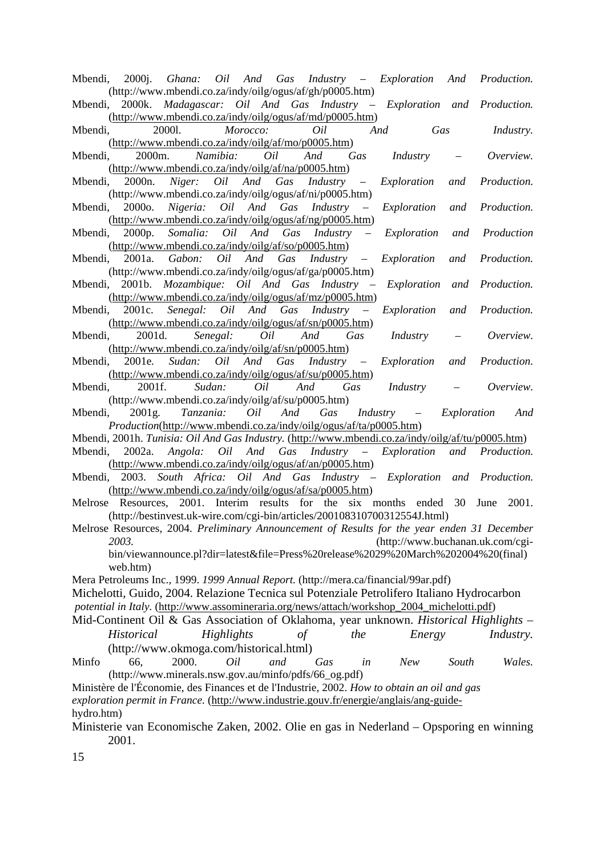| Mbendi, 2000j. Ghana: Oil And Gas Industry - Exploration And Production.                          |                                          |                      |
|---------------------------------------------------------------------------------------------------|------------------------------------------|----------------------|
| (http://www.mbendi.co.za/indy/oilg/ogus/af/gh/p0005.htm)                                          |                                          |                      |
| 2000k. Madagascar: Oil And Gas Industry - Exploration and Production.<br>Mbendi,                  |                                          |                      |
| (http://www.mbendi.co.za/indy/oilg/ogus/af/md/p0005.htm)                                          |                                          |                      |
| Mbendi, 20001. Morocco: Oil                                                                       | And Gas                                  | <i>Industry.</i>     |
| (http://www.mbendi.co.za/indy/oilg/af/mo/p0005.htm)                                               |                                          |                      |
| 2000m. Namibia: Oil And<br>Mbendi,                                                                | Gas Industry – Overview.                 |                      |
| (http://www.mbendi.co.za/indy/oilg/af/na/p0005.htm)                                               |                                          |                      |
| 2000n. Niger: Oil And Gas Industry - Exploration and Production.<br>Mbendi,                       |                                          |                      |
| (http://www.mbendi.co.za/indy/oilg/ogus/af/ni/p0005.htm)                                          |                                          |                      |
| 2000o. Nigeria: Oil And Gas Industry<br>Mbendi,<br>$\sim$ $-$                                     | Exploration and Production.              |                      |
| (http://www.mbendi.co.za/indy/oilg/ogus/af/ng/p0005.htm)                                          |                                          |                      |
| Mbendi, 2000p. Somalia: Oil And Gas Industry -                                                    | Exploration and Production               |                      |
| (http://www.mbendi.co.za/indy/oilg/af/so/p0005.htm)                                               |                                          |                      |
| Mbendi, 2001a. Gabon: Oil And Gas Industry -                                                      |                                          | Production.          |
|                                                                                                   | Exploration and                          |                      |
| (http://www.mbendi.co.za/indy/oilg/ogus/af/ga/p0005.htm)                                          |                                          |                      |
| Mbendi, 2001b. Mozambique: Oil And Gas Industry – Exploration and Production.                     |                                          |                      |
| (http://www.mbendi.co.za/indy/oilg/ogus/af/mz/p0005.htm)                                          |                                          |                      |
| Mbendi, 2001c. Senegal: Oil And Gas Industry – Exploration and                                    |                                          | Production.          |
| (http://www.mbendi.co.za/indy/oilg/ogus/af/sn/p0005.htm)                                          |                                          |                      |
| Mbendi, 2001d. Senegal: Oil And Gas                                                               | <i>Industry</i> – <i>Overview.</i>       |                      |
| (http://www.mbendi.co.za/indy/oilg/af/sn/p0005.htm)                                               |                                          |                      |
| Mbendi, 2001e. Sudan: Oil And Gas Industry -                                                      | Exploration and                          | Production.          |
| (http://www.mbendi.co.za/indy/oilg/ogus/af/su/p0005.htm)                                          |                                          |                      |
| 2001f.<br>Sudan: Oil And Gas<br>Mbendi,                                                           |                                          | Industry - Overview. |
| (http://www.mbendi.co.za/indy/oilg/af/su/p0005.htm)                                               |                                          |                      |
| Mbendi, 2001g. Tanzania: Oil And Gas                                                              | <i>Industry</i> – <i>Exploration And</i> |                      |
| <i>Production</i> (http://www.mbendi.co.za/indy/oilg/ogus/af/ta/p0005.htm)                        |                                          |                      |
| Mbendi, 2001h. Tunisia: Oil And Gas Industry. (http://www.mbendi.co.za/indy/oilg/af/tu/p0005.htm) |                                          |                      |
|                                                                                                   |                                          |                      |
| 2002a. Angola: Oil And Gas Industry - Exploration and Production.<br>Mbendi,                      |                                          |                      |
| (http://www.mbendi.co.za/indy/oilg/ogus/af/an/p0005.htm)                                          |                                          |                      |
| Mbendi, 2003. South Africa: Oil And Gas Industry - Exploration and Production.                    |                                          |                      |
| (http://www.mbendi.co.za/indy/oilg/ogus/af/sa/p0005.htm)                                          |                                          |                      |
| Melrose Resources, 2001. Interim results for the six months ended 30                              |                                          | June<br>2001.        |
| (http://bestinvest.uk-wire.com/cgi-bin/articles/200108310700312554J.html)                         |                                          |                      |
| Melrose Resources, 2004. Preliminary Announcement of Results for the year enden 31 December       |                                          |                      |
| 2003.                                                                                             | (http://www.buchanan.uk.com/cgi-         |                      |
| bin/viewannounce.pl?dir=latest&file=Press%20release%2029%20March%202004%20(final)                 |                                          |                      |
| web.htm)                                                                                          |                                          |                      |
| Mera Petroleums Inc., 1999. 1999 Annual Report. (http://mera.ca/financial/99ar.pdf)               |                                          |                      |
| Michelotti, Guido, 2004. Relazione Tecnica sul Potenziale Petrolifero Italiano Hydrocarbon        |                                          |                      |
|                                                                                                   |                                          |                      |
| potential in Italy. (http://www.assomineraria.org/news/attach/workshop_2004_michelotti.pdf)       |                                          |                      |
| Mid-Continent Oil & Gas Association of Oklahoma, year unknown. Historical Highlights -            |                                          |                      |
| Historical<br>Highlights<br>$\iota$<br>the                                                        | Energy                                   | <i>Industry.</i>     |
| (http://www.okmoga.com/historical.html)                                                           |                                          |                      |

Minfo 66, 2000. *Oil and Gas in New South Wales.* (http://www.minerals.nsw.gov.au/minfo/pdfs/66\_og.pdf)

Ministère de l'Économie, des Finances et de l'Industrie, 2002. *How to obtain an oil and gas exploration permit in France.* (http://www.industrie.gouv.fr/energie/anglais/ang-guidehydro.htm)

Ministerie van Economische Zaken, 2002. Olie en gas in Nederland – Opsporing en winning 2001.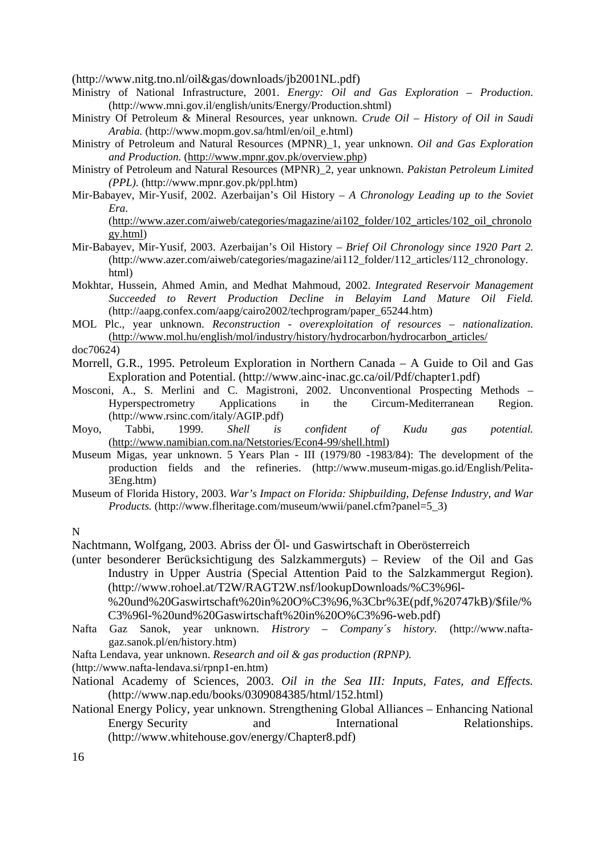(http://www.nitg.tno.nl/oil&gas/downloads/jb2001NL.pdf)

- Ministry of National Infrastructure, 2001. *Energy: Oil and Gas Exploration Production.*  (http://www.mni.gov.il/english/units/Energy/Production.shtml)
- Ministry Of Petroleum & Mineral Resources, year unknown. *Crude Oil History of Oil in Saudi Arabia.* (http://www.mopm.gov.sa/html/en/oil\_e.html)
- Ministry of Petroleum and Natural Resources (MPNR)\_1, year unknown. *Oil and Gas Exploration and Production.* (http://www.mpnr.gov.pk/overview.php)
- Ministry of Petroleum and Natural Resources (MPNR)\_2, year unknown. *Pakistan Petroleum Limited (PPL).* (http://www.mpnr.gov.pk/ppl.htm)
- Mir-Babayev, Mir-Yusif, 2002. Azerbaijan's Oil History *A Chronology Leading up to the Soviet Era.*

(http://www.azer.com/aiweb/categories/magazine/ai102\_folder/102\_articles/102\_oil\_chronolo gy.html)

- Mir-Babayev, Mir-Yusif, 2003. Azerbaijan's Oil History *Brief Oil Chronology since 1920 Part 2.*  (http://www.azer.com/aiweb/categories/magazine/ai112\_folder/112\_articles/112\_chronology. html)
- Mokhtar, Hussein, Ahmed Amin, and Medhat Mahmoud, 2002. *Integrated Reservoir Management Succeeded to Revert Production Decline in Belayim Land Mature Oil Field.*  (http://aapg.confex.com/aapg/cairo2002/techprogram/paper\_65244.htm)
- MOL Plc., year unknown. *Reconstruction overexploitation of resources nationalization.* (http://www.mol.hu/english/mol/industry/history/hydrocarbon/hydrocarbon\_articles/ doc70624)
- Morrell, G.R., 1995. Petroleum Exploration in Northern Canada A Guide to Oil and Gas Exploration and Potential. (http://www.ainc-inac.gc.ca/oil/Pdf/chapter1.pdf)
- Mosconi, A., S. Merlini and C. Magistroni, 2002. Unconventional Prospecting Methods Hyperspectrometry Applications in the Circum-Mediterranean Region. (http://www.rsinc.com/italy/AGIP.pdf)
- Moyo, Tabbi, 1999. *Shell is confident of Kudu gas potential.*  (http://www.namibian.com.na/Netstories/Econ4-99/shell.html)
- Museum Migas, year unknown. 5 Years Plan III (1979/80 -1983/84): The development of the production fields and the refineries. (http://www.museum-migas.go.id/English/Pelita-3Eng.htm)
- Museum of Florida History, 2003. *War's Impact on Florida: Shipbuilding, Defense Industry, and War Products.* (http://www.flheritage.com/museum/wwii/panel.cfm?panel=5\_3)
- N

Nachtmann, Wolfgang, 2003. Abriss der Öl- und Gaswirtschaft in Oberösterreich

(unter besonderer Berücksichtigung des Salzkammerguts) – Review of the Oil and Gas Industry in Upper Austria (Special Attention Paid to the Salzkammergut Region). (http://www.rohoel.at/T2W/RAGT2W.nsf/lookupDownloads/%C3%96l- %20und%20Gaswirtschaft%20in%20O%C3%96,%3Cbr%3E(pdf,%20747kB)/\$file/%

C3%96l-%20und%20Gaswirtschaft%20in%20O%C3%96-web.pdf)

- Nafta Gaz Sanok, year unknown. *Histrory Company´s history.* (http://www.naftagaz.sanok.pl/en/history.htm)
- Nafta Lendava, year unknown. *Research and oil & gas production (RPNP).*
- (http://www.nafta-lendava.si/rpnp1-en.htm)
- National Academy of Sciences, 2003. *Oil in the Sea III: Inputs, Fates, and Effects.*  (http://www.nap.edu/books/0309084385/html/152.html)
- National Energy Policy, year unknown. Strengthening Global Alliances Enhancing National Energy Security and International Relationships. (http://www.whitehouse.gov/energy/Chapter8.pdf)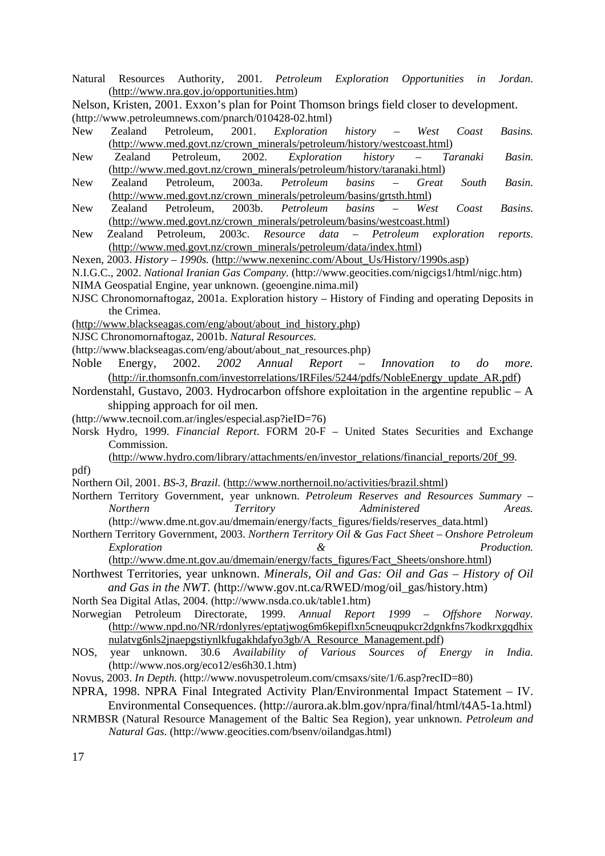Natural Resources Authority, 2001. *Petroleum Exploration Opportunities in Jordan.* (http://www.nra.gov.jo/opportunities.htm)

Nelson, Kristen, 2001. Exxon's plan for Point Thomson brings field closer to development. (http://www.petroleumnews.com/pnarch/010428-02.html)

- New Zealand Petroleum, 2001. *Exploration history West Coast Basins.*  (http://www.med.govt.nz/crown\_minerals/petroleum/history/westcoast.html)
- New Zealand Petroleum, 2002. *Exploration history Taranaki Basin.*  (http://www.med.govt.nz/crown\_minerals/petroleum/history/taranaki.html)
- New Zealand Petroleum, 2003a. *Petroleum basins Great South Basin.*  (http://www.med.govt.nz/crown\_minerals/petroleum/basins/grtsth.html)
- New Zealand Petroleum, 2003b. *Petroleum basins West Coast Basins.*  (http://www.med.govt.nz/crown\_minerals/petroleum/basins/westcoast.html)
- New Zealand Petroleum, 2003c. *Resource data Petroleum exploration reports.*  (http://www.med.govt.nz/crown\_minerals/petroleum/data/index.html)

Nexen, 2003. *History – 1990s.* (http://www.nexeninc.com/About\_Us/History/1990s.asp)

N.I.G.C., 2002. *National Iranian Gas Company.* (http://www.geocities.com/nigcigs1/html/nigc.htm)

NIMA Geospatial Engine, year unknown. (geoengine.nima.mil)

- NJSC Chronomornaftogaz, 2001a. Exploration history History of Finding and operating Deposits in the Crimea.
- (http://www.blackseagas.com/eng/about/about\_ind\_history.php)

NJSC Chronomornaftogaz, 2001b. *Natural Resources.* 

- (http://www.blackseagas.com/eng/about/about\_nat\_resources.php)
- Noble Energy, 2002. *2002 Annual Report Innovation to do more.*  (http://ir.thomsonfn.com/investorrelations/IRFiles/5244/pdfs/NobleEnergy\_update\_AR.pdf)
- Nordenstahl, Gustavo, 2003. Hydrocarbon offshore exploitation in the argentine republic A shipping approach for oil men.
- (http://www.tecnoil.com.ar/ingles/especial.asp?ieID=76)
- Norsk Hydro, 1999. *Financial Report*. FORM 20-F United States Securities and Exchange Commission.
	- (http://www.hydro.com/library/attachments/en/investor\_relations/financial\_reports/20f\_99.
- Northern Oil, 2001. *BS-3, Brazil.* (http://www.northernoil.no/activities/brazil.shtml)
- Northern Territory Government, year unknown. *Petroleum Reserves and Resources Summary Northern Territory Administered Areas.* (http://www.dme.nt.gov.au/dmemain/energy/facts\_figures/fields/reserves\_data.html)
- Northern Territory Government, 2003. *Northern Territory Oil & Gas Fact Sheet Onshore Petroleum Exploration & Production.*

(http://www.dme.nt.gov.au/dmemain/energy/facts\_figures/Fact\_Sheets/onshore.html)

Northwest Territories, year unknown. *Minerals, Oil and Gas: Oil and Gas – History of Oil and Gas in the NWT.* (http://www.gov.nt.ca/RWED/mog/oil\_gas/history.htm)

North Sea Digital Atlas, 2004. (http://www.nsda.co.uk/table1.htm)

- Norwegian Petroleum Directorate, 1999. *Annual Report 1999 Offshore Norway.* (http://www.npd.no/NR/rdonlyres/eptatjwog6m6kepiflxn5cneuqpukcr2dgnkfns7kodkrxgqdhix nulatvg6nls2jnaepgstiynlkfugakhdafyo3gb/A\_Resource\_Management.pdf)
- NOS, year unknown. 30.6 *Availability of Various Sources of Energy in India.*  (http://www.nos.org/eco12/es6h30.1.htm)
- Novus, 2003. *In Depth.* (http://www.novuspetroleum.com/cmsaxs/site/1/6.asp?recID=80)
- NPRA, 1998. NPRA Final Integrated Activity Plan/Environmental Impact Statement IV. Environmental Consequences. (http://aurora.ak.blm.gov/npra/final/html/t4A5-1a.html)
- NRMBSR (Natural Resource Management of the Baltic Sea Region), year unknown. *Petroleum and Natural Gas.* (http://www.geocities.com/bsenv/oilandgas.html)

17

pdf)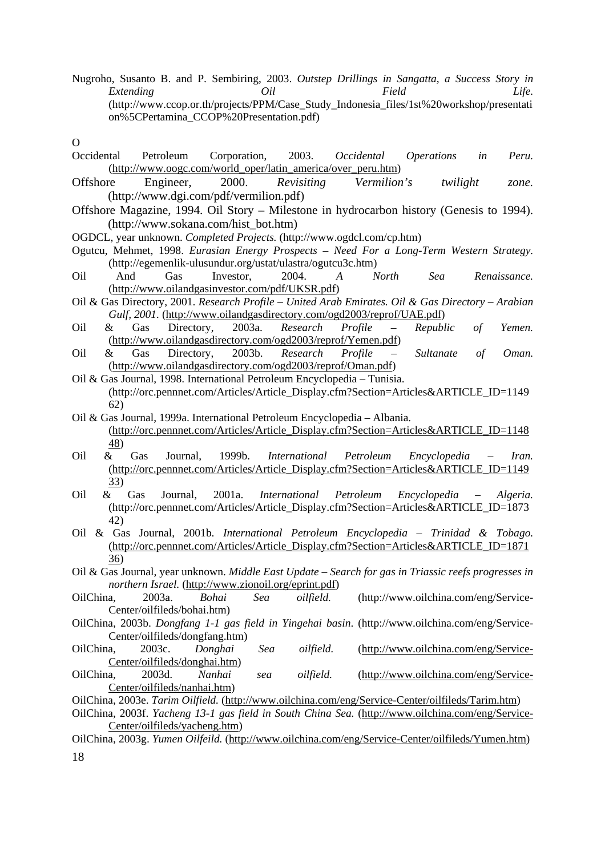Nugroho, Susanto B. and P. Sembiring, 2003. *Outstep Drillings in Sangatta, a Success Story in Extending Oil Field Life.*  (http://www.ccop.or.th/projects/PPM/Case\_Study\_Indonesia\_files/1st%20workshop/presentati on%5CPertamina\_CCOP%20Presentation.pdf)

 $\Omega$ 

- Occidental Petroleum Corporation, 2003. *Occidental Operations in Peru.*  (http://www.oogc.com/world\_oper/latin\_america/over\_peru.htm)
- Offshore Engineer, 2000. *Revisiting Vermilion's twilight zone.*  (http://www.dgi.com/pdf/vermilion.pdf)
- Offshore Magazine, 1994. Oil Story Milestone in hydrocarbon history (Genesis to 1994). (http://www.sokana.com/hist\_bot.htm)
- OGDCL, year unknown. *Completed Projects.* (http://www.ogdcl.com/cp.htm)
- Ogutcu, Mehmet, 1998. *Eurasian Energy Prospects – Need For a Long-Term Western Strategy.*  (http://egemenlik-ulusundur.org/ustat/ulastra/ogutcu3c.htm)
- Oil And Gas Investor, 2004. *A North Sea Renaissance.*  (http://www.oilandgasinvestor.com/pdf/UKSR.pdf)
- Oil & Gas Directory, 2001. *Research Profile United Arab Emirates. Oil & Gas Directory Arabian*  Gulf, 2001. (http://www.oilandgasdirectory.com/ogd2003/reprof/UAE.pdf)
- Oil & Gas Directory, 2003a. *Research Profile Republic of Yemen.*  (http://www.oilandgasdirectory.com/ogd2003/reprof/Yemen.pdf)
- Oil & Gas Directory, 2003b. *Research Profile Sultanate of Oman.* (http://www.oilandgasdirectory.com/ogd2003/reprof/Oman.pdf)
- Oil & Gas Journal, 1998. International Petroleum Encyclopedia Tunisia. (http://orc.pennnet.com/Articles/Article\_Display.cfm?Section=Articles&ARTICLE\_ID=1149 62)
- Oil & Gas Journal, 1999a. International Petroleum Encyclopedia Albania. (http://orc.pennnet.com/Articles/Article\_Display.cfm?Section=Articles&ARTICLE\_ID=1148 48)
- Oil & Gas Journal, 1999b. *International Petroleum Encyclopedia Iran.* (http://orc.pennnet.com/Articles/Article\_Display.cfm?Section=Articles&ARTICLE\_ID=1149 33)
- Oil & Gas Journal, 2001a. *International Petroleum Encyclopedia Algeria.*  (http://orc.pennnet.com/Articles/Article\_Display.cfm?Section=Articles&ARTICLE\_ID=1873 42)
- Oil & Gas Journal, 2001b. *International Petroleum Encyclopedia Trinidad & Tobago.* (http://orc.pennnet.com/Articles/Article\_Display.cfm?Section=Articles&ARTICLE\_ID=1871 36)
- Oil & Gas Journal, year unknown. *Middle East Update Search for gas in Triassic reefs progresses in northern Israel.* (http://www.zionoil.org/eprint.pdf)
- OilChina, 2003a. *Bohai Sea oilfield.* (http://www.oilchina.com/eng/Service-Center/oilfileds/bohai.htm)
- OilChina, 2003b. *Dongfang 1-1 gas field in Yingehai basin*. (http://www.oilchina.com/eng/Service-Center/oilfileds/dongfang.htm)
- OilChina, 2003c. *Donghai Sea oilfield.* (http://www.oilchina.com/eng/Service-Center/oilfileds/donghai.htm)
- OilChina, 2003d. *Nanhai sea oilfield.* (http://www.oilchina.com/eng/Service-Center/oilfileds/nanhai.htm)
- OilChina, 2003e. *Tarim Oilfield.* (http://www.oilchina.com/eng/Service-Center/oilfileds/Tarim.htm)
- OilChina, 2003f. *Yacheng 13-1 gas field in South China Sea.* (http://www.oilchina.com/eng/Service-Center/oilfileds/yacheng.htm)
- OilChina, 2003g. *Yumen Oilfeild.* (http://www.oilchina.com/eng/Service-Center/oilfileds/Yumen.htm)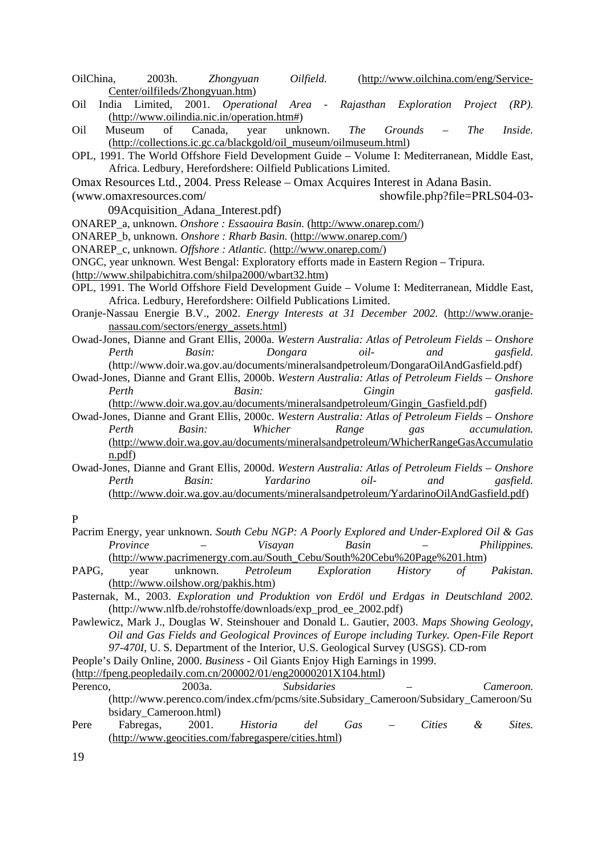OilChina, 2003h. *Zhongyuan Oilfield.* (http://www.oilchina.com/eng/Service-Center/oilfileds/Zhongyuan.htm)

- Oil India Limited, 2001. *Operational Area Rajasthan Exploration Project (RP).*  (http://www.oilindia.nic.in/operation.htm#)
- Oil Museum of Canada, year unknown. *The Grounds The Inside.* (http://collections.ic.gc.ca/blackgold/oil\_museum/oilmuseum.html)
- OPL, 1991. The World Offshore Field Development Guide Volume I: Mediterranean, Middle East, Africa. Ledbury, Herefordshere: Oilfield Publications Limited.
- Omax Resources Ltd., 2004. Press Release Omax Acquires Interest in Adana Basin.

(www.omaxresources.com/ showfile.php?file=PRLS04-03- 09Acquisition\_Adana\_Interest.pdf)

- ONAREP\_a, unknown. *Onshore : Essaouira Basin.* (http://www.onarep.com/)
- ONAREP\_b, unknown. *Onshore : Rharb Basin.* (http://www.onarep.com/)
- ONAREP\_c, unknown. *Offshore : Atlantic.* (http://www.onarep.com/)
- ONGC, year unknown. West Bengal: Exploratory efforts made in Eastern Region Tripura.
- (http://www.shilpabichitra.com/shilpa2000/wbart32.htm)
- OPL, 1991. The World Offshore Field Development Guide Volume I: Mediterranean, Middle East, Africa. Ledbury, Herefordshere: Oilfield Publications Limited.
- Oranje-Nassau Energie B.V., 2002. *Energy Interests at 31 December 2002.* (http://www.oranjenassau.com/sectors/energy\_assets.html)
- Owad-Jones, Dianne and Grant Ellis, 2000a. *Western Australia: Atlas of Petroleum Fields Onshore Perth Basin: Dongara oil- and gasfield.* (http://www.doir.wa.gov.au/documents/mineralsandpetroleum/DongaraOilAndGasfield.pdf)
- Owad-Jones, Dianne and Grant Ellis, 2000b. *Western Australia: Atlas of Petroleum Fields Onshore Perth Basin: Gingin gasfield.* (http://www.doir.wa.gov.au/documents/mineralsandpetroleum/Gingin\_Gasfield.pdf)
- Owad-Jones, Dianne and Grant Ellis, 2000c. *Western Australia: Atlas of Petroleum Fields Onshore Perth Basin: Whicher Range gas accumulation.* (http://www.doir.wa.gov.au/documents/mineralsandpetroleum/WhicherRangeGasAccumulatio

Owad-Jones, Dianne and Grant Ellis, 2000d. *Western Australia: Atlas of Petroleum Fields – Onshore Perth Basin: Yardarino oil- and gasfield.* (http://www.doir.wa.gov.au/documents/mineralsandpetroleum/YardarinoOilAndGasfield.pdf)

#### P

- Pacrim Energy, year unknown. *South Cebu NGP: A Poorly Explored and Under-Explored Oil & Gas Province – Visayan Basin – Philippines.*  (http://www.pacrimenergy.com.au/South\_Cebu/South%20Cebu%20Page%201.htm)
- PAPG, year unknown. *Petroleum Exploration History of Pakistan.*  (http://www.oilshow.org/pakhis.htm)
- Pasternak, M., 2003. *Exploration und Produktion von Erdöl und Erdgas in Deutschland 2002.*  (http://www.nlfb.de/rohstoffe/downloads/exp\_prod\_ee\_2002.pdf)
- Pawlewicz, Mark J., Douglas W. Steinshouer and Donald L. Gautier, 2003. *Maps Showing Geology, Oil and Gas Fields and Geological Provinces of Europe including Turkey. Open-File Report 97-470I*, U. S. Department of the Interior, U.S. Geological Survey (USGS). CD-rom
- People's Daily Online, 2000. *Business -* Oil Giants Enjoy High Earnings in 1999.
- (http://fpeng.peopledaily.com.cn/200002/01/eng20000201X104.html)

Pere Fabregas, 2001. *Historia del Gas – Cities & Sites.* (http://www.geocities.com/fabregaspere/cities.html)

n.pdf)

Perenco, 2003a. *Subsidaries* – Cameroon. (http://www.perenco.com/index.cfm/pcms/site.Subsidary\_Cameroon/Subsidary\_Cameroon/Su bsidary\_Cameroon.html)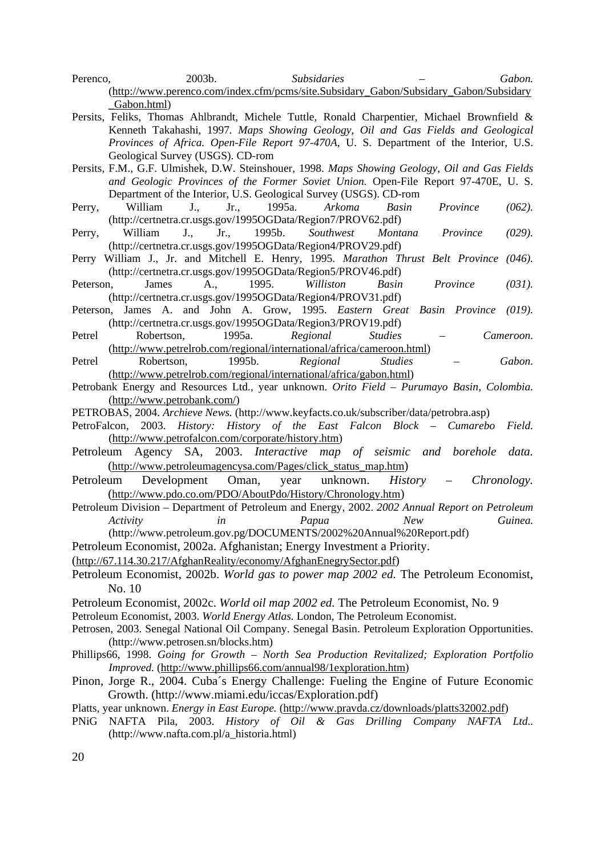- Perenco, 2003b. *Subsidaries Gabon.*  (http://www.perenco.com/index.cfm/pcms/site.Subsidary\_Gabon/Subsidary\_Gabon/Subsidary \_Gabon.html)
- Persits, Feliks, Thomas Ahlbrandt, Michele Tuttle, Ronald Charpentier, Michael Brownfield & Kenneth Takahashi, 1997*. Maps Showing Geology, Oil and Gas Fields and Geological Provinces of Africa. Open-File Report 97-470A*, U. S. Department of the Interior, U.S. Geological Survey (USGS). CD-rom
- Persits, F.M., G.F. Ulmishek, D.W. Steinshouer, 1998. *Maps Showing Geology, Oil and Gas Fields and Geologic Provinces of the Former Soviet Union.* Open-File Report 97-470E, U. S. Department of the Interior, U.S. Geological Survey (USGS). CD-rom
- Perry, William J., Jr., 1995a. *Arkoma Basin Province (062).*  (http://certnetra.cr.usgs.gov/1995OGData/Region7/PROV62.pdf)
- Perry, William J., Jr., 1995b. *Southwest Montana Province (029).*  (http://certnetra.cr.usgs.gov/1995OGData/Region4/PROV29.pdf)
- Perry William J., Jr. and Mitchell E. Henry, 1995. *Marathon Thrust Belt Province (046).* (http://certnetra.cr.usgs.gov/1995OGData/Region5/PROV46.pdf)
- Peterson, James A., 1995. *Williston Basin Province (031).*  (http://certnetra.cr.usgs.gov/1995OGData/Region4/PROV31.pdf)
- Peterson, James A. and John A. Grow, 1995. *Eastern Great Basin Province (019).* (http://certnetra.cr.usgs.gov/1995OGData/Region3/PROV19.pdf)
- Petrel Robertson, 1995a. *Regional Studies Cameroon.*  (http://www.petrelrob.com/regional/international/africa/cameroon.html)
- Petrel Robertson, 1995b. *Regional Studies Gabon.*  (http://www.petrelrob.com/regional/international/africa/gabon.html)
- Petrobank Energy and Resources Ltd., year unknown. *Orito Field Purumayo Basin, Colombia.* (http://www.petrobank.com/)
- PETROBAS, 2004. *Archieve News.* (http://www.keyfacts.co.uk/subscriber/data/petrobra.asp)
- PetroFalcon, 2003. *History: History of the East Falcon Block Cumarebo Field.*  (http://www.petrofalcon.com/corporate/history.htm)
- Petroleum Agency SA, 2003. *Interactive map of seismic and borehole data.*  (http://www.petroleumagencysa.com/Pages/click\_status\_map.htm)
- Petroleum Development Oman, year unknown. *History Chronology.* (http://www.pdo.co.om/PDO/AboutPdo/History/Chronology.htm)
- Petroleum Division Department of Petroleum and Energy, 2002. *2002 Annual Report on Petroleum Activity in Papua New Guinea.*  (http://www.petroleum.gov.pg/DOCUMENTS/2002%20Annual%20Report.pdf)

Petroleum Economist, 2002a. Afghanistan; Energy Investment a Priority.

- (http://67.114.30.217/AfghanReality/economy/AfghanEnegrySector.pdf)
- Petroleum Economist, 2002b. *World gas to power map 2002 ed.* The Petroleum Economist, No. 10
- Petroleum Economist, 2002c. *World oil map 2002 ed.* The Petroleum Economist, No. 9

Petroleum Economist, 2003. *World Energy Atlas.* London, The Petroleum Economist.

- Petrosen, 2003. Senegal National Oil Company. Senegal Basin. Petroleum Exploration Opportunities. (http://www.petrosen.sn/blocks.htm)
- Phillips66, 1998. *Going for Growth North Sea Production Revitalized; Exploration Portfolio Improved.* (http://www.phillips66.com/annual98/1exploration.htm)
- Pinon, Jorge R., 2004. Cuba´s Energy Challenge: Fueling the Engine of Future Economic Growth. (http://www.miami.edu/iccas/Exploration.pdf)
- Platts, year unknown. *Energy in East Europe.* (http://www.pravda.cz/downloads/platts32002.pdf)
- PNiG NAFTA Pila, 2003. *History of Oil & Gas Drilling Company NAFTA Ltd..* (http://www.nafta.com.pl/a\_historia.html)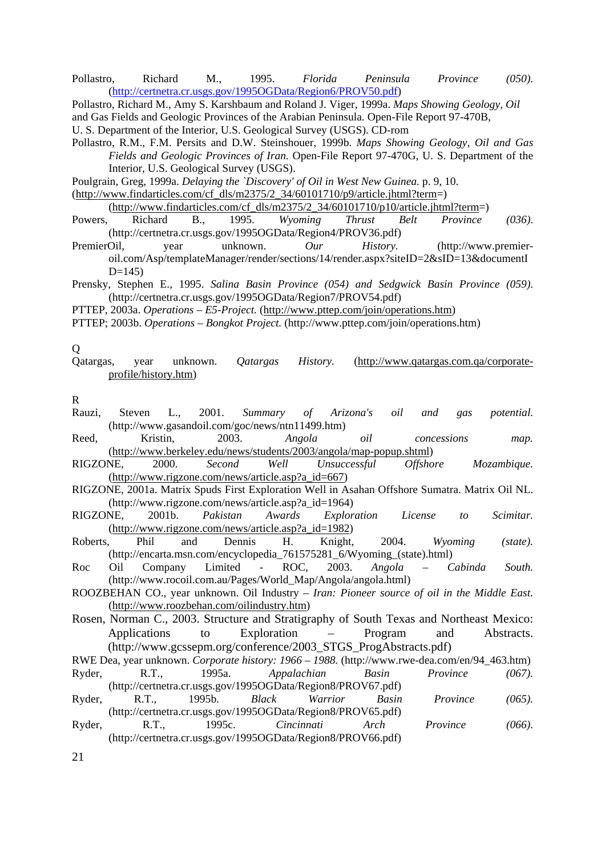Pollastro, Richard M., 1995. *Florida Peninsula Province (050).* (http://certnetra.cr.usgs.gov/1995OGData/Region6/PROV50.pdf)

Pollastro, Richard M., Amy S. Karshbaum and Roland J. Viger, 1999a. *Maps Showing Geology, Oil*  and Gas Fields and Geologic Provinces of the Arabian Peninsula. Open-File Report 97-470B, U. S. Department of the Interior, U.S. Geological Survey (USGS). CD-rom

Pollastro, R.M., F.M. Persits and D.W. Steinshouer, 1999b. *Maps Showing Geology, Oil and Gas Fields and Geologic Provinces of Iran.* Open-File Report 97-470G, U. S. Department of the Interior, U.S. Geological Survey (USGS).

Poulgrain, Greg, 1999a. *Delaying the `Discovery' of Oil in West New Guinea.* p. 9, 10.

(http://www.findarticles.com/cf\_dls/m2375/2\_34/60101710/p9/article.jhtml?term=)

 $(htp://www.findarticles.com/cf~dls/m2375/2~34/60101710/p10/article.jhtml?term=)$ 

Powers, Richard B., 1995. *Wyoming Thrust Belt Province (036).* (http://certnetra.cr.usgs.gov/1995OGData/Region4/PROV36.pdf)

PremierOil, year unknown. *Our History.* (http://www.premieroil.com/Asp/templateManager/render/sections/14/render.aspx?siteID=2&sID=13&documentI  $D=145$ 

Prensky, Stephen E., 1995. *Salina Basin Province (054) and Sedgwick Basin Province (059).*  (http://certnetra.cr.usgs.gov/1995OGData/Region7/PROV54.pdf)

PTTEP, 2003a. *Operations – E5-Project.* (http://www.pttep.com/join/operations.htm)

PTTEP; 2003b. *Operations – Bongkot Project.* (http://www.pttep.com/join/operations.htm)

Q

Qatargas, year unknown. *Qatargas History.* (http://www.qatargas.com.qa/corporateprofile/history.htm)

R

- Rauzi, Steven L., 2001. *Summary of Arizona's oil and gas potential.* (http://www.gasandoil.com/goc/news/ntn11499.htm)
- Reed, Kristin, 2003. *Angola oil concessions map.* (http://www.berkeley.edu/news/students/2003/angola/map-popup.shtml)
- RIGZONE, 2000. *Second Well Unsuccessful Offshore Mozambique.* (http://www.rigzone.com/news/article.asp?a\_id=667)
- RIGZONE, 2001a. Matrix Spuds First Exploration Well in Asahan Offshore Sumatra. Matrix Oil NL. (http://www.rigzone.com/news/article.asp?a\_id=1964)

RIGZONE, 2001b. *Pakistan Awards Exploration License to Scimitar.*  (http://www.rigzone.com/news/article.asp?a\_id=1982)

- Roberts, Phil and Dennis H. Knight, 2004. *Wyoming (state).* (http://encarta.msn.com/encyclopedia\_761575281\_6/Wyoming\_(state).html)
- Roc Oil Company Limited ROC, 2003. *Angola Cabinda South.* (http://www.rocoil.com.au/Pages/World\_Map/Angola/angola.html)
- ROOZBEHAN CO., year unknown. Oil Industry *Iran: Pioneer source of oil in the Middle East.* (http://www.roozbehan.com/oilindustry.htm)

Rosen, Norman C., 2003. Structure and Stratigraphy of South Texas and Northeast Mexico: Applications to Exploration – Program and Abstracts. (http://www.gcssepm.org/conference/2003\_STGS\_ProgAbstracts.pdf)

RWE Dea, year unknown. *Corporate history: 1966 – 1988.* (http://www.rwe-dea.com/en/94\_463.htm) Ryder, R.T., 1995a. *Appalachian Basin Province (067).*

<sup>(</sup>http://certnetra.cr.usgs.gov/1995OGData/Region8/PROV67.pdf) Ryder, R.T., 1995b. *Black Warrior Basin Province (065).*  (http://certnetra.cr.usgs.gov/1995OGData/Region8/PROV65.pdf)

Ryder, R.T., 1995c. *Cincinnati Arch Province (066).*  (http://certnetra.cr.usgs.gov/1995OGData/Region8/PROV66.pdf)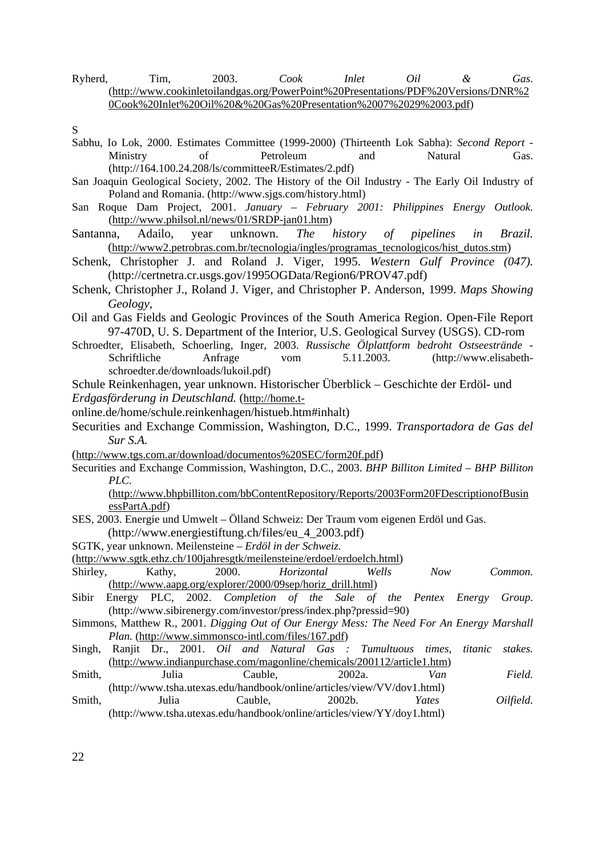Ryherd, Tim, 2003. *Cook Inlet Oil & Gas.* (http://www.cookinletoilandgas.org/PowerPoint%20Presentations/PDF%20Versions/DNR%2 0Cook%20Inlet%20Oil%20&%20Gas%20Presentation%2007%2029%2003.pdf)

- Sabhu, Io Lok, 2000. Estimates Committee (1999-2000) (Thirteenth Lok Sabha): *Second Report* Ministry of Petroleum and Natural Gas. (http://164.100.24.208/ls/committeeR/Estimates/2.pdf)
- San Joaquin Geological Society, 2002. The History of the Oil Industry The Early Oil Industry of Poland and Romania. (http://www.sjgs.com/history.html)
- San Roque Dam Project, 2001. *January February 2001: Philippines Energy Outlook.*  (http://www.philsol.nl/news/01/SRDP-jan01.htm)
- Santanna, Adailo, year unknown. *The history of pipelines in Brazil.*  (http://www2.petrobras.com.br/tecnologia/ingles/programas\_tecnologicos/hist\_dutos.stm)
- Schenk, Christopher J. and Roland J. Viger, 1995. *Western Gulf Province (047).* (http://certnetra.cr.usgs.gov/1995OGData/Region6/PROV47.pdf)
- Schenk, Christopher J., Roland J. Viger, and Christopher P. Anderson, 1999. *Maps Showing Geology,*
- Oil and Gas Fields and Geologic Provinces of the South America Region. Open-File Report 97-470D, U. S. Department of the Interior, U.S. Geological Survey (USGS). CD-rom
- Schroedter, Elisabeth, Schoerling, Inger, 2003. *Russische Ölplattform bedroht Ostseestrände* Schriftliche Anfrage vom 5.11.2003. (http://www.elisabethschroedter.de/downloads/lukoil.pdf)
- Schule Reinkenhagen, year unknown. Historischer Überblick Geschichte der Erdöl- und *Erdgasförderung in Deutschland.* (http://home.t-
- 
- online.de/home/schule.reinkenhagen/histueb.htm#inhalt)
- Securities and Exchange Commission, Washington, D.C., 1999. *Transportadora de Gas del Sur S.A.*
- (http://www.tgs.com.ar/download/documentos%20SEC/form20f.pdf)
- Securities and Exchange Commission, Washington, D.C., 2003. *BHP Billiton Limited BHP Billiton PLC.*

(http://www.bhpbilliton.com/bbContentRepository/Reports/2003Form20FDescriptionofBusin essPartA.pdf)

- SES, 2003. Energie und Umwelt Ölland Schweiz: Der Traum vom eigenen Erdöl und Gas.
- (http://www.energiestiftung.ch/files/eu\_4\_2003.pdf)
- SGTK, year unknown. Meilensteine *Erdöl in der Schweiz.*
- (http://www.sgtk.ethz.ch/100jahresgtk/meilensteine/erdoel/erdoelch.html)
- Shirley, Kathy, 2000. *Horizontal Wells Now Common.* (http://www.aapg.org/explorer/2000/09sep/horiz\_drill.html)
- Sibir Energy PLC, 2002. *Completion of the Sale of the Pentex Energy Group.* (http://www.sibirenergy.com/investor/press/index.php?pressid=90)
- Simmons, Matthew R., 2001. *Digging Out of Our Energy Mess: The Need For An Energy Marshall Plan.* (http://www.simmonsco-intl.com/files/167.pdf)
- Singh, Ranjit Dr., 2001. *Oil and Natural Gas : Tumultuous times, titanic stakes.* (http://www.indianpurchase.com/magonline/chemicals/200112/article1.htm)
- Smith, Julia Cauble, 2002a. *Van Field. Field.* (http://www.tsha.utexas.edu/handbook/online/articles/view/VV/dov1.html)
- Smith, Julia Cauble, 2002b. *Yates Oilfield.* (http://www.tsha.utexas.edu/handbook/online/articles/view/YY/doy1.html)

S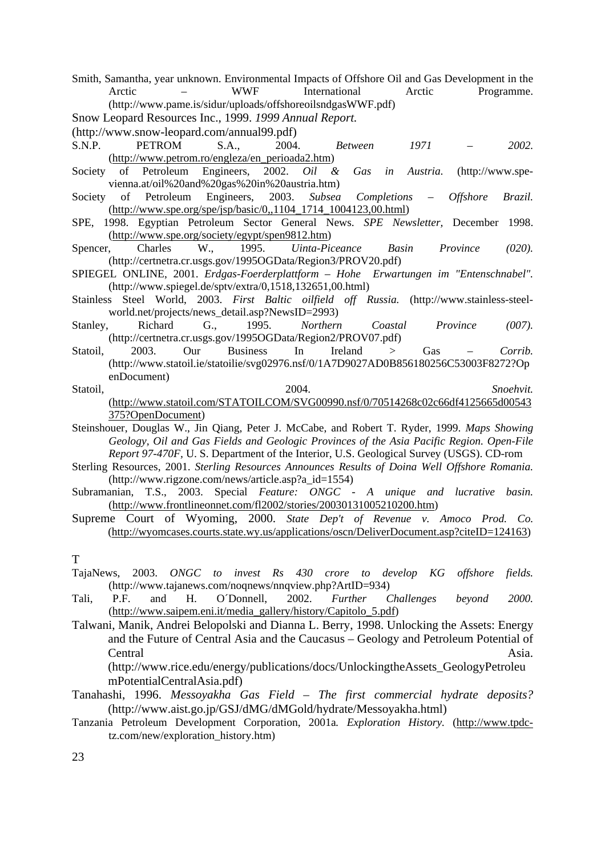Smith, Samantha, year unknown. Environmental Impacts of Offshore Oil and Gas Development in the Arctic – WWF International Arctic Programme. (http://www.pame.is/sidur/uploads/offshoreoilsndgasWWF.pdf) Snow Leopard Resources Inc., 1999. *1999 Annual Report.*

- 
- (http://www.snow-leopard.com/annual99.pdf)
- S.N.P. PETROM S.A., 2004. *Between 1971 2002.*  (http://www.petrom.ro/engleza/en\_perioada2.htm)
- Society of Petroleum Engineers, 2002. *Oil & Gas in Austria.* (http://www.spevienna.at/oil%20and%20gas%20in%20austria.htm)
- Society of Petroleum Engineers, 2003. *Subsea Completions Offshore Brazil.*  (http://www.spe.org/spe/jsp/basic/0,,1104\_1714\_1004123,00.html)
- SPE, 1998. Egyptian Petroleum Sector General News. *SPE Newsletter,* December 1998. (http://www.spe.org/society/egypt/spen9812.htm)
- Spencer, Charles W., 1995. *Uinta-Piceance Basin Province (020).*  (http://certnetra.cr.usgs.gov/1995OGData/Region3/PROV20.pdf)
- SPIEGEL ONLINE, 2001. *Erdgas-Foerderplattform Hohe Erwartungen im "Entenschnabel".*  (http://www.spiegel.de/sptv/extra/0,1518,132651,00.html)
- Stainless Steel World, 2003. *First Baltic oilfield off Russia.* (http://www.stainless-steelworld.net/projects/news\_detail.asp?NewsID=2993)
- Stanley, Richard G., 1995. *Northern Coastal Province (007).* (http://certnetra.cr.usgs.gov/1995OGData/Region2/PROV07.pdf)
- Statoil, 2003. Our Business In Ireland > Gas *Corrib.* (http://www.statoil.ie/statoilie/svg02976.nsf/0/1A7D9027AD0B856180256C53003F8272?Op enDocument)
- Statoil, 2004. *Snoehvit.* (http://www.statoil.com/STATOILCOM/SVG00990.nsf/0/70514268c02c66df4125665d00543 375?OpenDocument)
- Steinshouer, Douglas W., Jin Qiang, Peter J. McCabe, and Robert T. Ryder, 1999. *Maps Showing Geology, Oil and Gas Fields and Geologic Provinces of the Asia Pacific Region. Open-File Report 97-470F,* U. S. Department of the Interior, U.S. Geological Survey (USGS). CD-rom
- Sterling Resources, 2001. *Sterling Resources Announces Results of Doina Well Offshore Romania.*  (http://www.rigzone.com/news/article.asp?a\_id=1554)
- Subramanian, T.S., 2003. Special *Feature: ONGC A unique and lucrative basin.*  (http://www.frontlineonnet.com/fl2002/stories/20030131005210200.htm)
- Supreme Court of Wyoming, 2000. *State Dep't of Revenue v. Amoco Prod. Co.*  (http://wyomcases.courts.state.wy.us/applications/oscn/DeliverDocument.asp?citeID=124163)

T

- TajaNews, 2003. *ONGC to invest Rs 430 crore to develop KG offshore fields.*  (http://www.tajanews.com/noqnews/nnqview.php?ArtID=934)<br>P.F. and H. O'Donnell, 2002. Further C
- Tali, P.F. and H. O´Donnell, 2002. *Further Challenges beyond 2000.* (http://www.saipem.eni.it/media\_gallery/history/Capitolo\_5.pdf)
- Talwani, Manik, Andrei Belopolski and Dianna L. Berry, 1998. Unlocking the Assets: Energy and the Future of Central Asia and the Caucasus – Geology and Petroleum Potential of Central Asia. (http://www.rice.edu/energy/publications/docs/UnlockingtheAssets\_GeologyPetroleu

mPotentialCentralAsia.pdf)

- Tanahashi, 1996. *Messoyakha Gas Field The first commercial hydrate deposits?* (http://www.aist.go.jp/GSJ/dMG/dMGold/hydrate/Messoyakha.html)
- Tanzania Petroleum Development Corporation, 2001a*. Exploration History.* (http://www.tpdctz.com/new/exploration\_history.htm)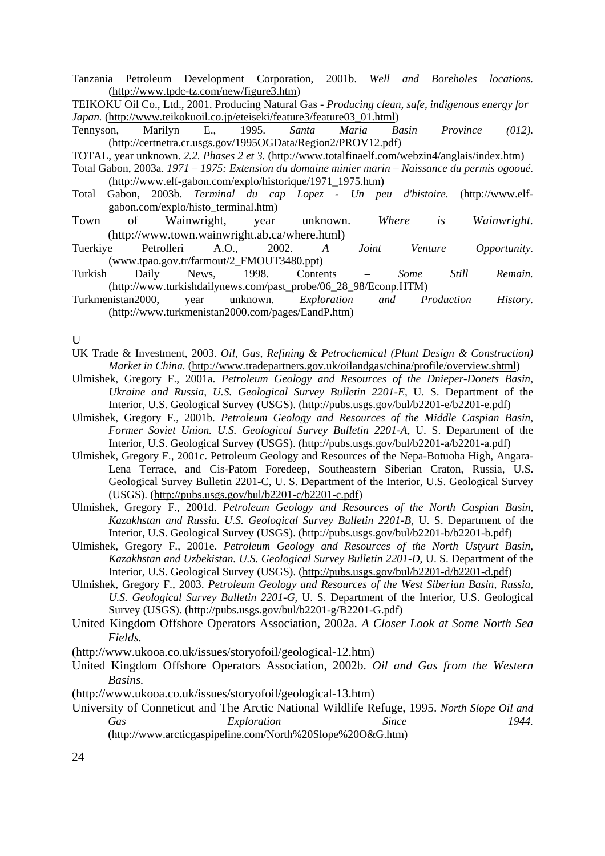Tanzania Petroleum Development Corporation, 2001b. *Well and Boreholes locations.*  (http://www.tpdc-tz.com/new/figure3.htm)

TEIKOKU Oil Co., Ltd., 2001. Producing Natural Gas - *Producing clean, safe, indigenous energy for Japan.* (http://www.teikokuoil.co.jp/eteiseki/feature3/feature03\_01.html)

Tennyson, Marilyn E., 1995. *Santa Maria Basin Province (012).*  (http://certnetra.cr.usgs.gov/1995OGData/Region2/PROV12.pdf)

TOTAL, year unknown. *2.2. Phases 2 et 3.* (http://www.totalfinaelf.com/webzin4/anglais/index.htm)

- Total Gabon, 2003a. *1971 1975: Extension du domaine minier marin Naissance du permis ogooué.*  (http://www.elf-gabon.com/explo/historique/1971\_1975.htm)
- Total Gabon, 2003b. *Terminal du cap Lopez Un peu d'histoire.* (http://www.elfgabon.com/explo/histo\_terminal.htm)
- Town of Wainwright, year unknown. *Where is Wainwright.* (http://www.town.wainwright.ab.ca/where.html)
- Tuerkiye Petrolleri A.O., 2002. *A Joint Venture Opportunity.* (www.tpao.gov.tr/farmout/2\_FMOUT3480.ppt)
- Turkish Daily News, 1998. Contents *Some Still Remain.* (http://www.turkishdailynews.com/past\_probe/06\_28\_98/Econp.HTM)
- Turkmenistan2000, year unknown. *Exploration and Production History.*  (http://www.turkmenistan2000.com/pages/EandP.htm)

U

- UK Trade & Investment, 2003. *Oil, Gas, Refining & Petrochemical (Plant Design & Construction) Market in China.* (http://www.tradepartners.gov.uk/oilandgas/china/profile/overview.shtml)
- Ulmishek, Gregory F., 2001a. *Petroleum Geology and Resources of the Dnieper-Donets Basin, Ukraine and Russia, U.S. Geological Survey Bulletin 2201-E,* U. S. Department of the Interior, U.S. Geological Survey (USGS). (http://pubs.usgs.gov/bul/b2201-e/b2201-e.pdf)
- Ulmishek, Gregory F., 2001b. *Petroleum Geology and Resources of the Middle Caspian Basin, Former Soviet Union. U.S. Geological Survey Bulletin 2201-A,* U. S. Department of the Interior, U.S. Geological Survey (USGS). (http://pubs.usgs.gov/bul/b2201-a/b2201-a.pdf)
- Ulmishek, Gregory F., 2001c. Petroleum Geology and Resources of the Nepa-Botuoba High, Angara-Lena Terrace, and Cis-Patom Foredeep, Southeastern Siberian Craton, Russia, U.S. Geological Survey Bulletin 2201-C, U. S. Department of the Interior, U.S. Geological Survey (USGS).  $(\frac{http://pubs.ussgs.gov/bul/b2201-c/b2201-c.pdf}{$
- Ulmishek, Gregory F., 2001d. *Petroleum Geology and Resources of the North Caspian Basin, Kazakhstan and Russia. U.S. Geological Survey Bulletin 2201-B,* U. S. Department of the Interior, U.S. Geological Survey (USGS). (http://pubs.usgs.gov/bul/b2201-b/b2201-b.pdf)
- Ulmishek, Gregory F., 2001e. *Petroleum Geology and Resources of the North Ustyurt Basin, Kazakhstan and Uzbekistan. U.S. Geological Survey Bulletin 2201-D*, U. S. Department of the Interior, U.S. Geological Survey (USGS). (http://pubs.usgs.gov/bul/b2201-d/b2201-d.pdf)
- Ulmishek, Gregory F., 2003. *Petroleum Geology and Resources of the West Siberian Basin, Russia, U.S. Geological Survey Bulletin 2201-G,* U. S. Department of the Interior, U.S. Geological Survey (USGS). (http://pubs.usgs.gov/bul/b2201-g/B2201-G.pdf)
- United Kingdom Offshore Operators Association, 2002a. *A Closer Look at Some North Sea Fields.*

(http://www.ukooa.co.uk/issues/storyofoil/geological-12.htm)

- United Kingdom Offshore Operators Association, 2002b. *Oil and Gas from the Western Basins.*
- (http://www.ukooa.co.uk/issues/storyofoil/geological-13.htm)
- University of Conneticut and The Arctic National Wildlife Refuge, 1995. *North Slope Oil and Gas Exploration Since 1944.* (http://www.arcticgaspipeline.com/North%20Slope%20O&G.htm)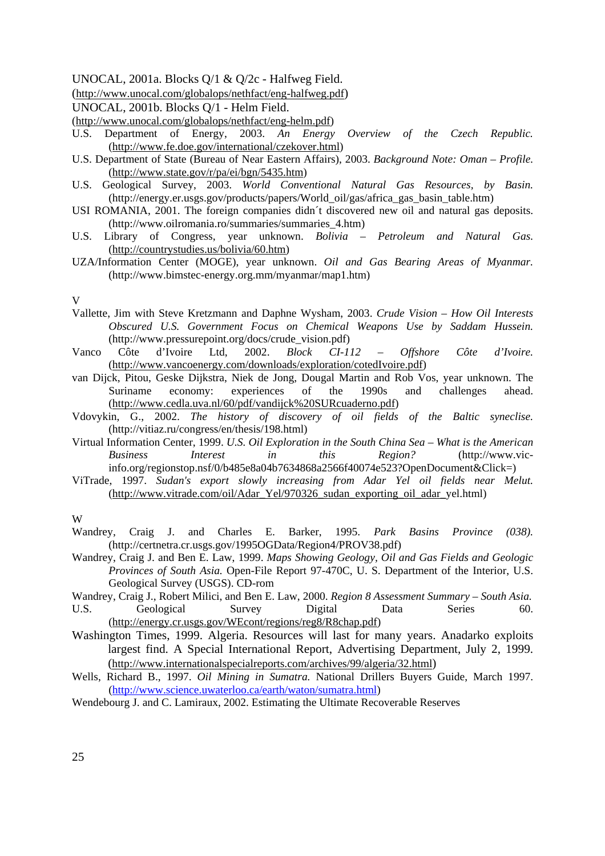UNOCAL, 2001a. Blocks Q/1 & Q/2c - Halfweg Field.

(http://www.unocal.com/globalops/nethfact/eng-halfweg.pdf)

UNOCAL, 2001b. Blocks Q/1 - Helm Field.

(http://www.unocal.com/globalops/nethfact/eng-helm.pdf)

- U.S. Department of Energy, 2003. *An Energy Overview of the Czech Republic.* (http://www.fe.doe.gov/international/czekover.html)
- U.S. Department of State (Bureau of Near Eastern Affairs), 2003. *Background Note: Oman Profile.* (http://www.state.gov/r/pa/ei/bgn/5435.htm)
- U.S. Geological Survey, 2003. *World Conventional Natural Gas Resources, by Basin.*  (http://energy.er.usgs.gov/products/papers/World\_oil/gas/africa\_gas\_basin\_table.htm)
- USI ROMANIA, 2001. The foreign companies didn´t discovered new oil and natural gas deposits. (http://www.oilromania.ro/summaries/summaries\_4.htm)
- U.S. Library of Congress, year unknown. *Bolivia Petroleum and Natural Gas.*  (http://countrystudies.us/bolivia/60.htm)
- UZA/Information Center (MOGE), year unknown. *Oil and Gas Bearing Areas of Myanmar.* (http://www.bimstec-energy.org.mm/myanmar/map1.htm)

V

- Vallette, Jim with Steve Kretzmann and Daphne Wysham, 2003. *Crude Vision How Oil Interests Obscured U.S. Government Focus on Chemical Weapons Use by Saddam Hussein.*  (http://www.pressurepoint.org/docs/crude\_vision.pdf)
- Vanco Côte d'Ivoire Ltd, 2002. *Block CI-112 Offshore Côte d'Ivoire.*  (http://www.vancoenergy.com/downloads/exploration/cotedIvoire.pdf)
- van Dijck, Pitou, Geske Dijkstra, Niek de Jong, Dougal Martin and Rob Vos, year unknown. The Suriname economy: experiences of the 1990s and challenges ahead. (http://www.cedla.uva.nl/60/pdf/vandijck%20SURcuaderno.pdf)
- Vdovykin, G., 2002. *The history of discovery of oil fields of the Baltic syneclise.* (http://vitiaz.ru/congress/en/thesis/198.html)
- Virtual Information Center, 1999. *U.S. Oil Exploration in the South China Sea What is the American Business Interest in this Region?* (http://www.vicinfo.org/regionstop.nsf/0/b485e8a04b7634868a2566f40074e523?OpenDocument&Click=)
- ViTrade, 1997. *Sudan's export slowly increasing from Adar Yel oil fields near Melut.*  (http://www.vitrade.com/oil/Adar\_Yel/970326\_sudan\_exporting\_oil\_adar\_yel.html)

W

- Wandrey, Craig J. and Charles E. Barker, 1995. *Park Basins Province (038).*  (http://certnetra.cr.usgs.gov/1995OGData/Region4/PROV38.pdf)
- Wandrey, Craig J. and Ben E. Law, 1999. *Maps Showing Geology, Oil and Gas Fields and Geologic Provinces of South Asia.* Open-File Report 97-470C, U. S. Department of the Interior, U.S. Geological Survey (USGS). CD-rom
- Wandrey, Craig J., Robert Milici, and Ben E. Law, 2000. *Region 8 Assessment Summary South Asia.*  U.S. Geological Survey Digital Data Series 60. (http://energy.cr.usgs.gov/WEcont/regions/reg8/R8chap.pdf)
- Washington Times, 1999. Algeria. Resources will last for many years. Anadarko exploits largest find. A Special International Report, Advertising Department, July 2, 1999. (http://www.internationalspecialreports.com/archives/99/algeria/32.html)
- Wells, Richard B., 1997. *Oil Mining in Sumatra.* National Drillers Buyers Guide, March 1997. (http://www.science.uwaterloo.ca/earth/waton/sumatra.html)
- Wendebourg J. and C. Lamiraux, 2002. Estimating the Ultimate Recoverable Reserves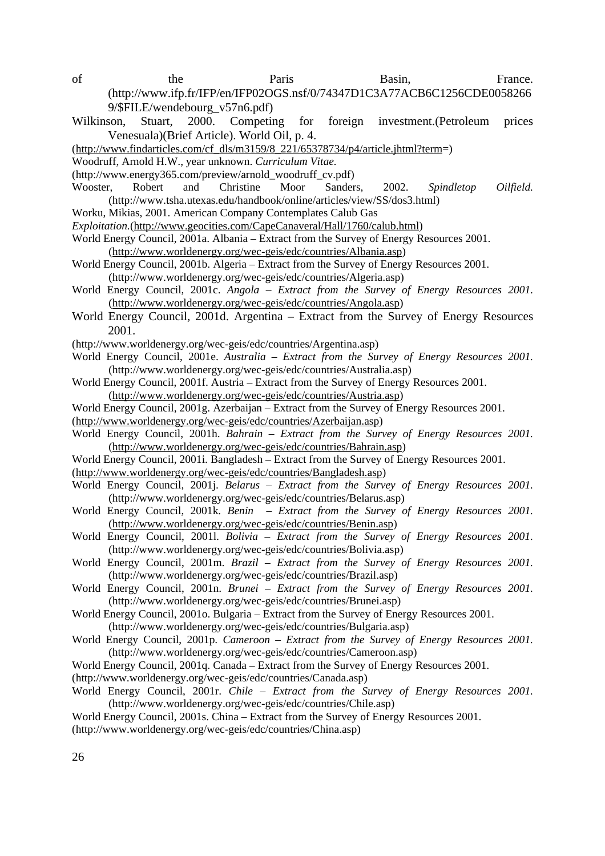- of the Paris Basin, France. (http://www.ifp.fr/IFP/en/IFP02OGS.nsf/0/74347D1C3A77ACB6C1256CDE0058266 9/\$FILE/wendebourg\_v57n6.pdf)
- Wilkinson, Stuart, 2000. Competing for foreign investment.(Petroleum prices Venesuala)(Brief Article). World Oil, p. 4.
- (http://www.findarticles.com/cf\_dls/m3159/8\_221/65378734/p4/article.jhtml?term=)
- Woodruff, Arnold H.W., year unknown. *Curriculum Vitae.*
- (http://www.energy365.com/preview/arnold\_woodruff\_cv.pdf)
- Wooster, Robert and Christine Moor Sanders, 2002. *Spindletop Oilfield.* (http://www.tsha.utexas.edu/handbook/online/articles/view/SS/dos3.html)
- Worku, Mikias, 2001. American Company Contemplates Calub Gas
- *Exploitation.*(http://www.geocities.com/CapeCanaveral/Hall/1760/calub.html)

World Energy Council, 2001a. Albania – Extract from the Survey of Energy Resources 2001. (http://www.worldenergy.org/wec-geis/edc/countries/Albania.asp)

- World Energy Council, 2001b. Algeria Extract from the Survey of Energy Resources 2001. (http://www.worldenergy.org/wec-geis/edc/countries/Algeria.asp)
- World Energy Council, 2001c. *Angola Extract from the Survey of Energy Resources 2001.* (http://www.worldenergy.org/wec-geis/edc/countries/Angola.asp)
- World Energy Council, 2001d. Argentina Extract from the Survey of Energy Resources 2001.
- (http://www.worldenergy.org/wec-geis/edc/countries/Argentina.asp)
- World Energy Council, 2001e. *Australia Extract from the Survey of Energy Resources 2001.*  (http://www.worldenergy.org/wec-geis/edc/countries/Australia.asp)
- World Energy Council, 2001f. Austria Extract from the Survey of Energy Resources 2001. (http://www.worldenergy.org/wec-geis/edc/countries/Austria.asp)
- World Energy Council, 2001g. Azerbaijan Extract from the Survey of Energy Resources 2001.
- (http://www.worldenergy.org/wec-geis/edc/countries/Azerbaijan.asp)
- World Energy Council, 2001h. *Bahrain Extract from the Survey of Energy Resources 2001.*  (http://www.worldenergy.org/wec-geis/edc/countries/Bahrain.asp)
- World Energy Council, 2001i. Bangladesh Extract from the Survey of Energy Resources 2001. (http://www.worldenergy.org/wec-geis/edc/countries/Bangladesh.asp)
- World Energy Council, 2001j. *Belarus Extract from the Survey of Energy Resources 2001.* (http://www.worldenergy.org/wec-geis/edc/countries/Belarus.asp)
- World Energy Council, 2001k. *Benin Extract from the Survey of Energy Resources 2001.* (http://www.worldenergy.org/wec-geis/edc/countries/Benin.asp)
- World Energy Council, 2001l. *Bolivia Extract from the Survey of Energy Resources 2001.*  (http://www.worldenergy.org/wec-geis/edc/countries/Bolivia.asp)
- World Energy Council, 2001m. *Brazil Extract from the Survey of Energy Resources 2001.*  (http://www.worldenergy.org/wec-geis/edc/countries/Brazil.asp)
- World Energy Council, 2001n. *Brunei Extract from the Survey of Energy Resources 2001.*  (http://www.worldenergy.org/wec-geis/edc/countries/Brunei.asp)
- World Energy Council, 2001o. Bulgaria Extract from the Survey of Energy Resources 2001. (http://www.worldenergy.org/wec-geis/edc/countries/Bulgaria.asp)
- World Energy Council, 2001p. *Cameroon Extract from the Survey of Energy Resources 2001.*  (http://www.worldenergy.org/wec-geis/edc/countries/Cameroon.asp)
- World Energy Council, 2001q. Canada Extract from the Survey of Energy Resources 2001.
- (http://www.worldenergy.org/wec-geis/edc/countries/Canada.asp)
- World Energy Council, 2001r. *Chile Extract from the Survey of Energy Resources 2001.*  (http://www.worldenergy.org/wec-geis/edc/countries/Chile.asp)
- World Energy Council, 2001s. China Extract from the Survey of Energy Resources 2001.
- (http://www.worldenergy.org/wec-geis/edc/countries/China.asp)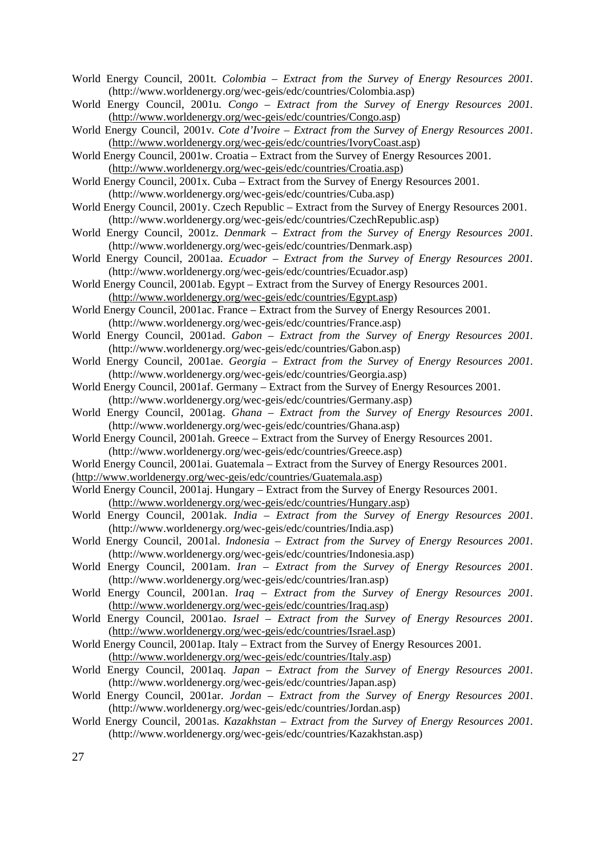World Energy Council, 2001t. *Colombia – Extract from the Survey of Energy Resources 2001.* (http://www.worldenergy.org/wec-geis/edc/countries/Colombia.asp)

World Energy Council, 2001u*. Congo – Extract from the Survey of Energy Resources 2001.*  (http://www.worldenergy.org/wec-geis/edc/countries/Congo.asp)

World Energy Council, 2001v. *Cote d'Ivoire – Extract from the Survey of Energy Resources 2001.* (http://www.worldenergy.org/wec-geis/edc/countries/IvoryCoast.asp)

World Energy Council, 2001w. Croatia – Extract from the Survey of Energy Resources 2001. (http://www.worldenergy.org/wec-geis/edc/countries/Croatia.asp)

World Energy Council, 2001x. Cuba – Extract from the Survey of Energy Resources 2001. (http://www.worldenergy.org/wec-geis/edc/countries/Cuba.asp)

World Energy Council, 2001y. Czech Republic – Extract from the Survey of Energy Resources 2001. (http://www.worldenergy.org/wec-geis/edc/countries/CzechRepublic.asp)

World Energy Council, 2001z. *Denmark – Extract from the Survey of Energy Resources 2001.* (http://www.worldenergy.org/wec-geis/edc/countries/Denmark.asp)

World Energy Council, 2001aa. *Ecuador – Extract from the Survey of Energy Resources 2001.*  (http://www.worldenergy.org/wec-geis/edc/countries/Ecuador.asp)

World Energy Council, 2001ab. Egypt – Extract from the Survey of Energy Resources 2001. (http://www.worldenergy.org/wec-geis/edc/countries/Egypt.asp)

World Energy Council, 2001ac. France – Extract from the Survey of Energy Resources 2001. (http://www.worldenergy.org/wec-geis/edc/countries/France.asp)

World Energy Council, 2001ad. *Gabon – Extract from the Survey of Energy Resources 2001.*  (http://www.worldenergy.org/wec-geis/edc/countries/Gabon.asp)

World Energy Council, 2001ae. *Georgia – Extract from the Survey of Energy Resources 2001.*  (http://www.worldenergy.org/wec-geis/edc/countries/Georgia.asp)

World Energy Council, 2001af. Germany – Extract from the Survey of Energy Resources 2001. (http://www.worldenergy.org/wec-geis/edc/countries/Germany.asp)

- World Energy Council, 2001ag. *Ghana Extract from the Survey of Energy Resources 2001.*  (http://www.worldenergy.org/wec-geis/edc/countries/Ghana.asp)
- World Energy Council, 2001ah. Greece Extract from the Survey of Energy Resources 2001. (http://www.worldenergy.org/wec-geis/edc/countries/Greece.asp)

World Energy Council, 2001ai. Guatemala – Extract from the Survey of Energy Resources 2001.

(http://www.worldenergy.org/wec-geis/edc/countries/Guatemala.asp)

- World Energy Council, 2001aj. Hungary Extract from the Survey of Energy Resources 2001. (http://www.worldenergy.org/wec-geis/edc/countries/Hungary.asp)
- World Energy Council, 2001ak. *India Extract from the Survey of Energy Resources 2001.* (http://www.worldenergy.org/wec-geis/edc/countries/India.asp)
- World Energy Council, 2001al. *Indonesia Extract from the Survey of Energy Resources 2001.* (http://www.worldenergy.org/wec-geis/edc/countries/Indonesia.asp)
- World Energy Council, 2001am. *Iran Extract from the Survey of Energy Resources 2001.* (http://www.worldenergy.org/wec-geis/edc/countries/Iran.asp)

World Energy Council, 2001an. *Iraq – Extract from the Survey of Energy Resources 2001.*  (http://www.worldenergy.org/wec-geis/edc/countries/Iraq.asp)

World Energy Council, 2001ao. *Israel – Extract from the Survey of Energy Resources 2001.*  (http://www.worldenergy.org/wec-geis/edc/countries/Israel.asp)

World Energy Council, 2001ap. Italy – Extract from the Survey of Energy Resources 2001. (http://www.worldenergy.org/wec-geis/edc/countries/Italy.asp)

World Energy Council, 2001aq. *Japan – Extract from the Survey of Energy Resources 2001.* (http://www.worldenergy.org/wec-geis/edc/countries/Japan.asp)

World Energy Council, 2001ar. *Jordan – Extract from the Survey of Energy Resources 2001.* (http://www.worldenergy.org/wec-geis/edc/countries/Jordan.asp)

World Energy Council, 2001as. *Kazakhstan – Extract from the Survey of Energy Resources 2001.*  (http://www.worldenergy.org/wec-geis/edc/countries/Kazakhstan.asp)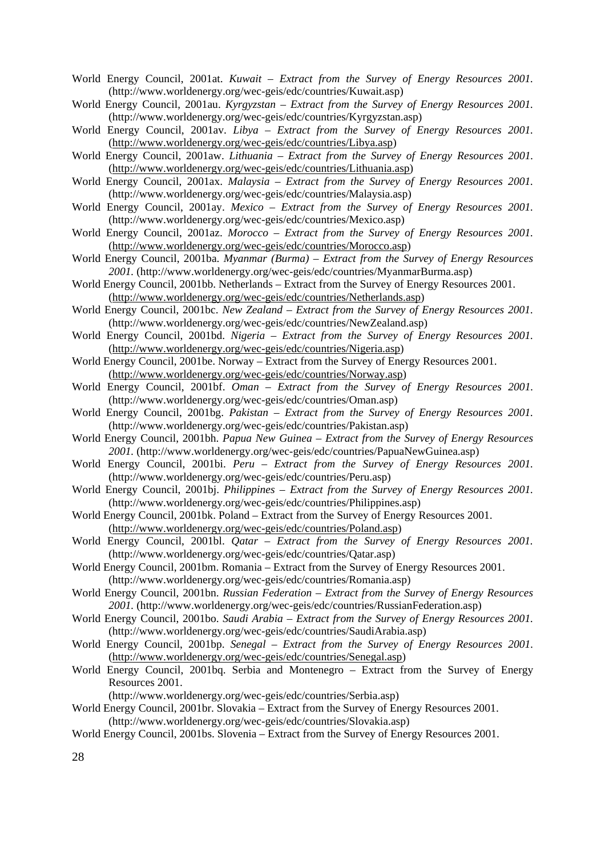- World Energy Council, 2001at. *Kuwait Extract from the Survey of Energy Resources 2001.* (http://www.worldenergy.org/wec-geis/edc/countries/Kuwait.asp)
- World Energy Council, 2001au. *Kyrgyzstan Extract from the Survey of Energy Resources 2001.*  (http://www.worldenergy.org/wec-geis/edc/countries/Kyrgyzstan.asp)
- World Energy Council, 2001av. *Libya Extract from the Survey of Energy Resources 2001.*  (http://www.worldenergy.org/wec-geis/edc/countries/Libya.asp)
- World Energy Council, 2001aw. *Lithuania Extract from the Survey of Energy Resources 2001.* (http://www.worldenergy.org/wec-geis/edc/countries/Lithuania.asp)
- World Energy Council, 2001ax. *Malaysia Extract from the Survey of Energy Resources 2001.* (http://www.worldenergy.org/wec-geis/edc/countries/Malaysia.asp)
- World Energy Council, 2001ay. *Mexico Extract from the Survey of Energy Resources 2001.* (http://www.worldenergy.org/wec-geis/edc/countries/Mexico.asp)
- World Energy Council, 2001az. *Morocco Extract from the Survey of Energy Resources 2001.*  (http://www.worldenergy.org/wec-geis/edc/countries/Morocco.asp)
- World Energy Council, 2001ba. *Myanmar (Burma) Extract from the Survey of Energy Resources 2001.* (http://www.worldenergy.org/wec-geis/edc/countries/MyanmarBurma.asp)
- World Energy Council, 2001bb. Netherlands Extract from the Survey of Energy Resources 2001. (http://www.worldenergy.org/wec-geis/edc/countries/Netherlands.asp)
- World Energy Council, 2001bc. *New Zealand Extract from the Survey of Energy Resources 2001.*  (http://www.worldenergy.org/wec-geis/edc/countries/NewZealand.asp)
- World Energy Council, 2001bd. *Nigeria Extract from the Survey of Energy Resources 2001.*  (http://www.worldenergy.org/wec-geis/edc/countries/Nigeria.asp)
- World Energy Council, 2001be. Norway Extract from the Survey of Energy Resources 2001. (http://www.worldenergy.org/wec-geis/edc/countries/Norway.asp)
- World Energy Council, 2001bf. *Oman Extract from the Survey of Energy Resources 2001.* (http://www.worldenergy.org/wec-geis/edc/countries/Oman.asp)
- World Energy Council, 2001bg. *Pakistan Extract from the Survey of Energy Resources 2001.*  (http://www.worldenergy.org/wec-geis/edc/countries/Pakistan.asp)
- World Energy Council, 2001bh. *Papua New Guinea Extract from the Survey of Energy Resources 2001.* (http://www.worldenergy.org/wec-geis/edc/countries/PapuaNewGuinea.asp)
- World Energy Council, 2001bi. *Peru Extract from the Survey of Energy Resources 2001.*  (http://www.worldenergy.org/wec-geis/edc/countries/Peru.asp)
- World Energy Council, 2001bj. *Philippines Extract from the Survey of Energy Resources 2001.*  (http://www.worldenergy.org/wec-geis/edc/countries/Philippines.asp)
- World Energy Council, 2001bk. Poland Extract from the Survey of Energy Resources 2001. (http://www.worldenergy.org/wec-geis/edc/countries/Poland.asp)
- World Energy Council, 2001bl. *Qatar Extract from the Survey of Energy Resources 2001.*  (http://www.worldenergy.org/wec-geis/edc/countries/Qatar.asp)
- World Energy Council, 2001bm. Romania Extract from the Survey of Energy Resources 2001. (http://www.worldenergy.org/wec-geis/edc/countries/Romania.asp)
- World Energy Council, 2001bn. *Russian Federation Extract from the Survey of Energy Resources 2001.* (http://www.worldenergy.org/wec-geis/edc/countries/RussianFederation.asp)
- World Energy Council, 2001bo. *Saudi Arabia Extract from the Survey of Energy Resources 2001.*  (http://www.worldenergy.org/wec-geis/edc/countries/SaudiArabia.asp)
- World Energy Council, 2001bp. *Senegal Extract from the Survey of Energy Resources 2001.* (http://www.worldenergy.org/wec-geis/edc/countries/Senegal.asp)
- World Energy Council, 2001bq. Serbia and Montenegro Extract from the Survey of Energy Resources 2001.
	- (http://www.worldenergy.org/wec-geis/edc/countries/Serbia.asp)
- World Energy Council, 2001br. Slovakia Extract from the Survey of Energy Resources 2001. (http://www.worldenergy.org/wec-geis/edc/countries/Slovakia.asp)
- World Energy Council, 2001bs. Slovenia Extract from the Survey of Energy Resources 2001.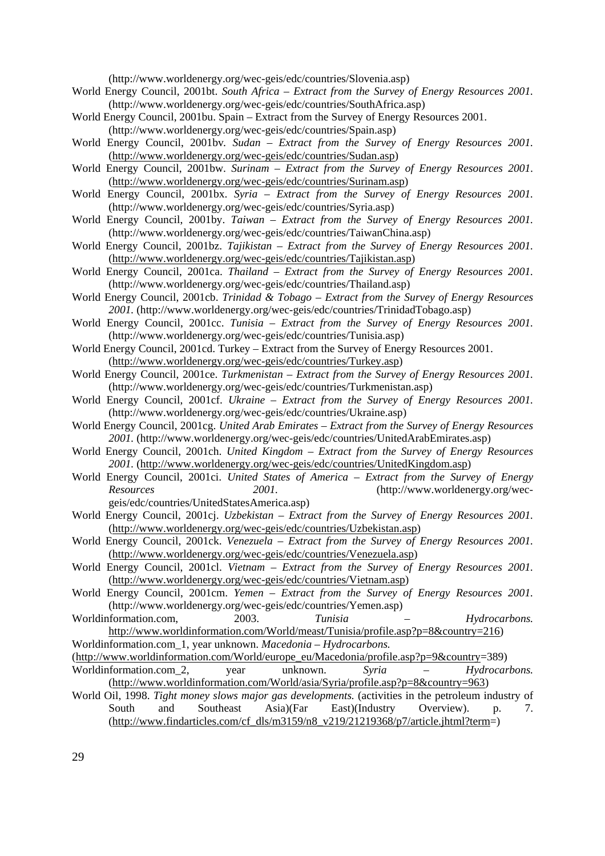(http://www.worldenergy.org/wec-geis/edc/countries/Slovenia.asp)

- World Energy Council, 2001bt. *South Africa Extract from the Survey of Energy Resources 2001.*  (http://www.worldenergy.org/wec-geis/edc/countries/SouthAfrica.asp)
- World Energy Council, 2001bu. Spain Extract from the Survey of Energy Resources 2001. (http://www.worldenergy.org/wec-geis/edc/countries/Spain.asp)
- World Energy Council, 2001bv*. Sudan Extract from the Survey of Energy Resources 2001.*  (http://www.worldenergy.org/wec-geis/edc/countries/Sudan.asp)
- World Energy Council, 2001bw. *Surinam Extract from the Survey of Energy Resources 2001.* (http://www.worldenergy.org/wec-geis/edc/countries/Surinam.asp)
- World Energy Council, 2001bx. *Syria Extract from the Survey of Energy Resources 2001.*  (http://www.worldenergy.org/wec-geis/edc/countries/Syria.asp)
- World Energy Council, 2001by. *Taiwan Extract from the Survey of Energy Resources 2001.*  (http://www.worldenergy.org/wec-geis/edc/countries/TaiwanChina.asp)
- World Energy Council, 2001bz. *Tajikistan Extract from the Survey of Energy Resources 2001.*  (http://www.worldenergy.org/wec-geis/edc/countries/Tajikistan.asp)
- World Energy Council, 2001ca. *Thailand Extract from the Survey of Energy Resources 2001.*  (http://www.worldenergy.org/wec-geis/edc/countries/Thailand.asp)
- World Energy Council, 2001cb. *Trinidad & Tobago Extract from the Survey of Energy Resources 2001.* (http://www.worldenergy.org/wec-geis/edc/countries/TrinidadTobago.asp)
- World Energy Council, 2001cc. *Tunisia Extract from the Survey of Energy Resources 2001.*  (http://www.worldenergy.org/wec-geis/edc/countries/Tunisia.asp)
- World Energy Council, 2001cd. Turkey Extract from the Survey of Energy Resources 2001. (http://www.worldenergy.org/wec-geis/edc/countries/Turkey.asp)
- World Energy Council, 2001ce. *Turkmenistan Extract from the Survey of Energy Resources 2001.* (http://www.worldenergy.org/wec-geis/edc/countries/Turkmenistan.asp)
- World Energy Council, 2001cf. *Ukraine Extract from the Survey of Energy Resources 2001.* (http://www.worldenergy.org/wec-geis/edc/countries/Ukraine.asp)
- World Energy Council, 2001cg. *United Arab Emirates Extract from the Survey of Energy Resources 2001.* (http://www.worldenergy.org/wec-geis/edc/countries/UnitedArabEmirates.asp)
- World Energy Council, 2001ch. *United Kingdom Extract from the Survey of Energy Resources 2001.* (http://www.worldenergy.org/wec-geis/edc/countries/UnitedKingdom.asp)
- World Energy Council, 2001ci. *United States of America – Extract from the Survey of Energy Resources 2001.* (http://www.worldenergy.org/wecgeis/edc/countries/UnitedStatesAmerica.asp)
- World Energy Council, 2001cj. *Uzbekistan Extract from the Survey of Energy Resources 2001.*  (http://www.worldenergy.org/wec-geis/edc/countries/Uzbekistan.asp)
- World Energy Council, 2001ck. *Venezuela Extract from the Survey of Energy Resources 2001.*  (http://www.worldenergy.org/wec-geis/edc/countries/Venezuela.asp)
- World Energy Council, 2001cl. *Vietnam Extract from the Survey of Energy Resources 2001.*  (http://www.worldenergy.org/wec-geis/edc/countries/Vietnam.asp)
- World Energy Council, 2001cm. *Yemen Extract from the Survey of Energy Resources 2001.*  (http://www.worldenergy.org/wec-geis/edc/countries/Yemen.asp)
- Worldinformation.com, 2003. *Tunisia Hydrocarbons.*  http://www.worldinformation.com/World/meast/Tunisia/profile.asp?p=8&country=216)
- Worldinformation.com\_1, year unknown. *Macedonia Hydrocarbons.*
- (http://www.worldinformation.com/World/europe\_eu/Macedonia/profile.asp?p=9&country=389) Worldinformation.com\_2, year unknown. *Syria – Hydrocarbons.* (http://www.worldinformation.com/World/asia/Syria/profile.asp?p=8&country=963)
- World Oil, 1998. *Tight money slows major gas developments.* (activities in the petroleum industry of South and Southeast Asia)(Far East)(Industry Overview). p. 7.  $(\text{http://www.findarticles.com/cf~dls/m3159/n8~v219/21219368/p7/article,jhtml?term=)$